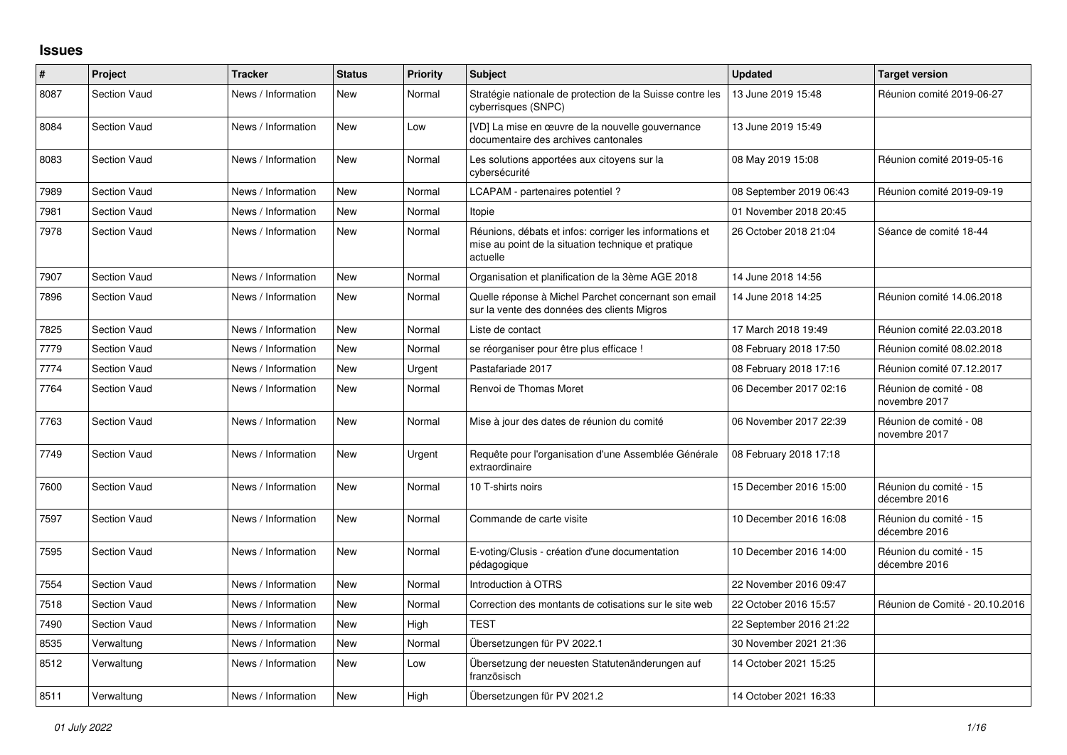## **Issues**

| #    | Project             | <b>Tracker</b>     | <b>Status</b> | <b>Priority</b> | <b>Subject</b>                                                                                                             | <b>Updated</b>          | <b>Target version</b>                   |
|------|---------------------|--------------------|---------------|-----------------|----------------------------------------------------------------------------------------------------------------------------|-------------------------|-----------------------------------------|
| 8087 | <b>Section Vaud</b> | News / Information | <b>New</b>    | Normal          | Stratégie nationale de protection de la Suisse contre les<br>cyberrisques (SNPC)                                           | 13 June 2019 15:48      | Réunion comité 2019-06-27               |
| 8084 | <b>Section Vaud</b> | News / Information | <b>New</b>    | Low             | [VD] La mise en œuvre de la nouvelle gouvernance<br>documentaire des archives cantonales                                   | 13 June 2019 15:49      |                                         |
| 8083 | <b>Section Vaud</b> | News / Information | <b>New</b>    | Normal          | Les solutions apportées aux citoyens sur la<br>cybersécurité                                                               | 08 May 2019 15:08       | Réunion comité 2019-05-16               |
| 7989 | <b>Section Vaud</b> | News / Information | <b>New</b>    | Normal          | LCAPAM - partenaires potentiel?                                                                                            | 08 September 2019 06:43 | Réunion comité 2019-09-19               |
| 7981 | <b>Section Vaud</b> | News / Information | <b>New</b>    | Normal          | Itopie                                                                                                                     | 01 November 2018 20:45  |                                         |
| 7978 | <b>Section Vaud</b> | News / Information | <b>New</b>    | Normal          | Réunions, débats et infos: corriger les informations et<br>mise au point de la situation technique et pratique<br>actuelle | 26 October 2018 21:04   | Séance de comité 18-44                  |
| 7907 | <b>Section Vaud</b> | News / Information | <b>New</b>    | Normal          | Organisation et planification de la 3ème AGE 2018                                                                          | 14 June 2018 14:56      |                                         |
| 7896 | <b>Section Vaud</b> | News / Information | <b>New</b>    | Normal          | Quelle réponse à Michel Parchet concernant son email<br>sur la vente des données des clients Migros                        | 14 June 2018 14:25      | Réunion comité 14.06.2018               |
| 7825 | <b>Section Vaud</b> | News / Information | <b>New</b>    | Normal          | Liste de contact                                                                                                           | 17 March 2018 19:49     | Réunion comité 22.03.2018               |
| 7779 | <b>Section Vaud</b> | News / Information | <b>New</b>    | Normal          | se réorganiser pour être plus efficace !                                                                                   | 08 February 2018 17:50  | Réunion comité 08.02.2018               |
| 7774 | <b>Section Vaud</b> | News / Information | <b>New</b>    | Urgent          | Pastafariade 2017                                                                                                          | 08 February 2018 17:16  | Réunion comité 07.12.2017               |
| 7764 | <b>Section Vaud</b> | News / Information | <b>New</b>    | Normal          | Renvoi de Thomas Moret                                                                                                     | 06 December 2017 02:16  | Réunion de comité - 08<br>novembre 2017 |
| 7763 | <b>Section Vaud</b> | News / Information | <b>New</b>    | Normal          | Mise à jour des dates de réunion du comité                                                                                 | 06 November 2017 22:39  | Réunion de comité - 08<br>novembre 2017 |
| 7749 | <b>Section Vaud</b> | News / Information | <b>New</b>    | Urgent          | Requête pour l'organisation d'une Assemblée Générale<br>extraordinaire                                                     | 08 February 2018 17:18  |                                         |
| 7600 | <b>Section Vaud</b> | News / Information | <b>New</b>    | Normal          | 10 T-shirts noirs                                                                                                          | 15 December 2016 15:00  | Réunion du comité - 15<br>décembre 2016 |
| 7597 | <b>Section Vaud</b> | News / Information | <b>New</b>    | Normal          | Commande de carte visite                                                                                                   | 10 December 2016 16:08  | Réunion du comité - 15<br>décembre 2016 |
| 7595 | Section Vaud        | News / Information | <b>New</b>    | Normal          | E-voting/Clusis - création d'une documentation<br>pédagogique                                                              | 10 December 2016 14:00  | Réunion du comité - 15<br>décembre 2016 |
| 7554 | <b>Section Vaud</b> | News / Information | <b>New</b>    | Normal          | Introduction à OTRS                                                                                                        | 22 November 2016 09:47  |                                         |
| 7518 | <b>Section Vaud</b> | News / Information | <b>New</b>    | Normal          | Correction des montants de cotisations sur le site web                                                                     | 22 October 2016 15:57   | Réunion de Comité - 20.10.2016          |
| 7490 | <b>Section Vaud</b> | News / Information | <b>New</b>    | High            | <b>TEST</b>                                                                                                                | 22 September 2016 21:22 |                                         |
| 8535 | Verwaltung          | News / Information | <b>New</b>    | Normal          | Übersetzungen für PV 2022.1                                                                                                | 30 November 2021 21:36  |                                         |
| 8512 | Verwaltung          | News / Information | New           | Low             | Übersetzung der neuesten Statutenänderungen auf<br>französisch                                                             | 14 October 2021 15:25   |                                         |
| 8511 | Verwaltung          | News / Information | <b>New</b>    | High            | Übersetzungen für PV 2021.2                                                                                                | 14 October 2021 16:33   |                                         |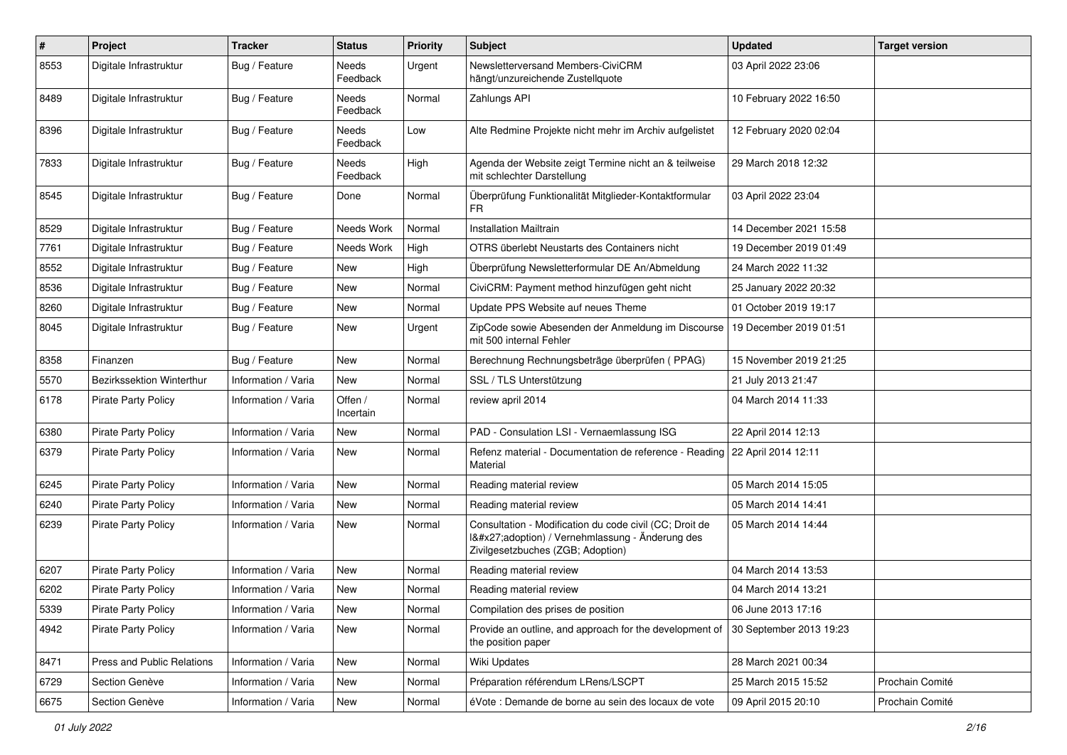| $\pmb{\#}$ | Project                    | <b>Tracker</b>      | <b>Status</b>        | <b>Priority</b> | <b>Subject</b>                                                                                                                              | <b>Updated</b>         | <b>Target version</b> |
|------------|----------------------------|---------------------|----------------------|-----------------|---------------------------------------------------------------------------------------------------------------------------------------------|------------------------|-----------------------|
| 8553       | Digitale Infrastruktur     | Bug / Feature       | Needs<br>Feedback    | Urgent          | Newsletterversand Members-CiviCRM<br>hängt/unzureichende Zustellquote                                                                       | 03 April 2022 23:06    |                       |
| 8489       | Digitale Infrastruktur     | Bug / Feature       | Needs<br>Feedback    | Normal          | Zahlungs API                                                                                                                                | 10 February 2022 16:50 |                       |
| 8396       | Digitale Infrastruktur     | Bug / Feature       | Needs<br>Feedback    | Low             | Alte Redmine Projekte nicht mehr im Archiv aufgelistet                                                                                      | 12 February 2020 02:04 |                       |
| 7833       | Digitale Infrastruktur     | Bug / Feature       | Needs<br>Feedback    | High            | Agenda der Website zeigt Termine nicht an & teilweise<br>mit schlechter Darstellung                                                         | 29 March 2018 12:32    |                       |
| 8545       | Digitale Infrastruktur     | Bug / Feature       | Done                 | Normal          | Überprüfung Funktionalität Mitglieder-Kontaktformular<br>FR                                                                                 | 03 April 2022 23:04    |                       |
| 8529       | Digitale Infrastruktur     | Bug / Feature       | Needs Work           | Normal          | <b>Installation Mailtrain</b>                                                                                                               | 14 December 2021 15:58 |                       |
| 7761       | Digitale Infrastruktur     | Bug / Feature       | Needs Work           | High            | OTRS überlebt Neustarts des Containers nicht                                                                                                | 19 December 2019 01:49 |                       |
| 8552       | Digitale Infrastruktur     | Bug / Feature       | <b>New</b>           | High            | Überprüfung Newsletterformular DE An/Abmeldung                                                                                              | 24 March 2022 11:32    |                       |
| 8536       | Digitale Infrastruktur     | Bug / Feature       | New                  | Normal          | CiviCRM: Payment method hinzufügen geht nicht                                                                                               | 25 January 2022 20:32  |                       |
| 8260       | Digitale Infrastruktur     | Bug / Feature       | New                  | Normal          | Update PPS Website auf neues Theme                                                                                                          | 01 October 2019 19:17  |                       |
| 8045       | Digitale Infrastruktur     | Bug / Feature       | New                  | Urgent          | ZipCode sowie Abesenden der Anmeldung im Discourse<br>mit 500 internal Fehler                                                               | 19 December 2019 01:51 |                       |
| 8358       | Finanzen                   | Bug / Feature       | <b>New</b>           | Normal          | Berechnung Rechnungsbeträge überprüfen (PPAG)                                                                                               | 15 November 2019 21:25 |                       |
| 5570       | Bezirkssektion Winterthur  | Information / Varia | New                  | Normal          | SSL / TLS Unterstützung                                                                                                                     | 21 July 2013 21:47     |                       |
| 6178       | <b>Pirate Party Policy</b> | Information / Varia | Offen /<br>Incertain | Normal          | review april 2014                                                                                                                           | 04 March 2014 11:33    |                       |
| 6380       | <b>Pirate Party Policy</b> | Information / Varia | New                  | Normal          | PAD - Consulation LSI - Vernaemlassung ISG                                                                                                  | 22 April 2014 12:13    |                       |
| 6379       | Pirate Party Policy        | Information / Varia | New                  | Normal          | Refenz material - Documentation de reference - Reading<br>Material                                                                          | 22 April 2014 12:11    |                       |
| 6245       | Pirate Party Policy        | Information / Varia | <b>New</b>           | Normal          | Reading material review                                                                                                                     | 05 March 2014 15:05    |                       |
| 6240       | <b>Pirate Party Policy</b> | Information / Varia | <b>New</b>           | Normal          | Reading material review                                                                                                                     | 05 March 2014 14:41    |                       |
| 6239       | Pirate Party Policy        | Information / Varia | New                  | Normal          | Consultation - Modification du code civil (CC; Droit de<br>I'adoption) / Vernehmlassung - Änderung des<br>Zivilgesetzbuches (ZGB; Adoption) | 05 March 2014 14:44    |                       |
| 6207       | <b>Pirate Party Policy</b> | Information / Varia | <b>New</b>           | Normal          | Reading material review                                                                                                                     | 04 March 2014 13:53    |                       |
| 6202       | <b>Pirate Party Policy</b> | Information / Varia | New                  | Normal          | Reading material review                                                                                                                     | 04 March 2014 13:21    |                       |
| 5339       | Pirate Party Policy        | Information / Varia | New                  | Normal          | Compilation des prises de position                                                                                                          | 06 June 2013 17:16     |                       |
| 4942       | Pirate Party Policy        | Information / Varia | New                  | Normal          | Provide an outline, and approach for the development of 30 September 2013 19:23<br>the position paper                                       |                        |                       |
| 8471       | Press and Public Relations | Information / Varia | New                  | Normal          | Wiki Updates                                                                                                                                | 28 March 2021 00:34    |                       |
| 6729       | Section Genève             | Information / Varia | New                  | Normal          | Préparation référendum LRens/LSCPT                                                                                                          | 25 March 2015 15:52    | Prochain Comité       |
| 6675       | Section Genève             | Information / Varia | New                  | Normal          | éVote : Demande de borne au sein des locaux de vote                                                                                         | 09 April 2015 20:10    | Prochain Comité       |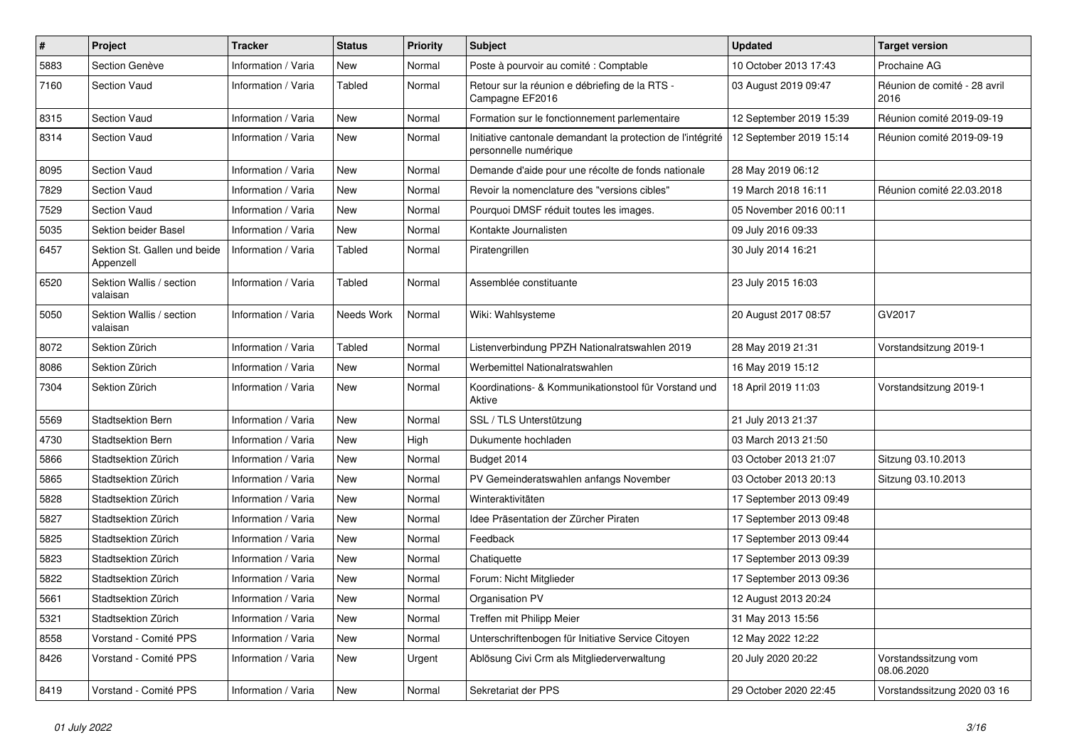| #    | <b>Project</b>                            | <b>Tracker</b>      | <b>Status</b> | <b>Priority</b> | <b>Subject</b>                                                                       | <b>Updated</b>          | <b>Target version</b>                |
|------|-------------------------------------------|---------------------|---------------|-----------------|--------------------------------------------------------------------------------------|-------------------------|--------------------------------------|
| 5883 | Section Genève                            | Information / Varia | New           | Normal          | Poste à pourvoir au comité : Comptable                                               | 10 October 2013 17:43   | Prochaine AG                         |
| 7160 | <b>Section Vaud</b>                       | Information / Varia | <b>Tabled</b> | Normal          | Retour sur la réunion e débriefing de la RTS -<br>Campagne EF2016                    | 03 August 2019 09:47    | Réunion de comité - 28 avril<br>2016 |
| 8315 | <b>Section Vaud</b>                       | Information / Varia | New           | Normal          | Formation sur le fonctionnement parlementaire                                        | 12 September 2019 15:39 | Réunion comité 2019-09-19            |
| 8314 | <b>Section Vaud</b>                       | Information / Varia | New           | Normal          | Initiative cantonale demandant la protection de l'intégrité<br>personnelle numérique | 12 September 2019 15:14 | Réunion comité 2019-09-19            |
| 8095 | Section Vaud                              | Information / Varia | New           | Normal          | Demande d'aide pour une récolte de fonds nationale                                   | 28 May 2019 06:12       |                                      |
| 7829 | Section Vaud                              | Information / Varia | New           | Normal          | Revoir la nomenclature des "versions cibles"                                         | 19 March 2018 16:11     | Réunion comité 22.03.2018            |
| 7529 | <b>Section Vaud</b>                       | Information / Varia | New           | Normal          | Pourquoi DMSF réduit toutes les images.                                              | 05 November 2016 00:11  |                                      |
| 5035 | Sektion beider Basel                      | Information / Varia | New           | Normal          | Kontakte Journalisten                                                                | 09 July 2016 09:33      |                                      |
| 6457 | Sektion St. Gallen und beide<br>Appenzell | Information / Varia | <b>Tabled</b> | Normal          | Piratengrillen                                                                       | 30 July 2014 16:21      |                                      |
| 6520 | Sektion Wallis / section<br>valaisan      | Information / Varia | <b>Tabled</b> | Normal          | Assemblée constituante                                                               | 23 July 2015 16:03      |                                      |
| 5050 | Sektion Wallis / section<br>valaisan      | Information / Varia | Needs Work    | Normal          | Wiki: Wahlsysteme                                                                    | 20 August 2017 08:57    | GV2017                               |
| 8072 | Sektion Zürich                            | Information / Varia | <b>Tabled</b> | Normal          | Listenverbindung PPZH Nationalratswahlen 2019                                        | 28 May 2019 21:31       | Vorstandsitzung 2019-1               |
| 8086 | Sektion Zürich                            | Information / Varia | New           | Normal          | Werbemittel Nationalratswahlen                                                       | 16 May 2019 15:12       |                                      |
| 7304 | Sektion Zürich                            | Information / Varia | New           | Normal          | Koordinations- & Kommunikationstool für Vorstand und<br>Aktive                       | 18 April 2019 11:03     | Vorstandsitzung 2019-1               |
| 5569 | <b>Stadtsektion Bern</b>                  | Information / Varia | New           | Normal          | SSL / TLS Unterstützung                                                              | 21 July 2013 21:37      |                                      |
| 4730 | <b>Stadtsektion Bern</b>                  | Information / Varia | New           | High            | Dukumente hochladen                                                                  | 03 March 2013 21:50     |                                      |
| 5866 | Stadtsektion Zürich                       | Information / Varia | New           | Normal          | Budget 2014                                                                          | 03 October 2013 21:07   | Sitzung 03.10.2013                   |
| 5865 | Stadtsektion Zürich                       | Information / Varia | New           | Normal          | PV Gemeinderatswahlen anfangs November                                               | 03 October 2013 20:13   | Sitzung 03.10.2013                   |
| 5828 | Stadtsektion Zürich                       | Information / Varia | New           | Normal          | Winteraktivitäten                                                                    | 17 September 2013 09:49 |                                      |
| 5827 | Stadtsektion Zürich                       | Information / Varia | New           | Normal          | Idee Präsentation der Zürcher Piraten                                                | 17 September 2013 09:48 |                                      |
| 5825 | Stadtsektion Zürich                       | Information / Varia | New           | Normal          | Feedback                                                                             | 17 September 2013 09:44 |                                      |
| 5823 | Stadtsektion Zürich                       | Information / Varia | New           | Normal          | Chatiquette                                                                          | 17 September 2013 09:39 |                                      |
| 5822 | Stadtsektion Zürich                       | Information / Varia | New           | Normal          | Forum: Nicht Mitglieder                                                              | 17 September 2013 09:36 |                                      |
| 5661 | Stadtsektion Zürich                       | Information / Varia | New           | Normal          | Organisation PV                                                                      | 12 August 2013 20:24    |                                      |
| 5321 | Stadtsektion Zürich                       | Information / Varia | New           | Normal          | Treffen mit Philipp Meier                                                            | 31 May 2013 15:56       |                                      |
| 8558 | Vorstand - Comité PPS                     | Information / Varia | New           | Normal          | Unterschriftenbogen für Initiative Service Citoyen                                   | 12 May 2022 12:22       |                                      |
| 8426 | Vorstand - Comité PPS                     | Information / Varia | New           | Urgent          | Ablösung Civi Crm als Mitgliederverwaltung                                           | 20 July 2020 20:22      | Vorstandssitzung vom<br>08.06.2020   |
| 8419 | Vorstand - Comité PPS                     | Information / Varia | New           | Normal          | Sekretariat der PPS                                                                  | 29 October 2020 22:45   | Vorstandssitzung 2020 03 16          |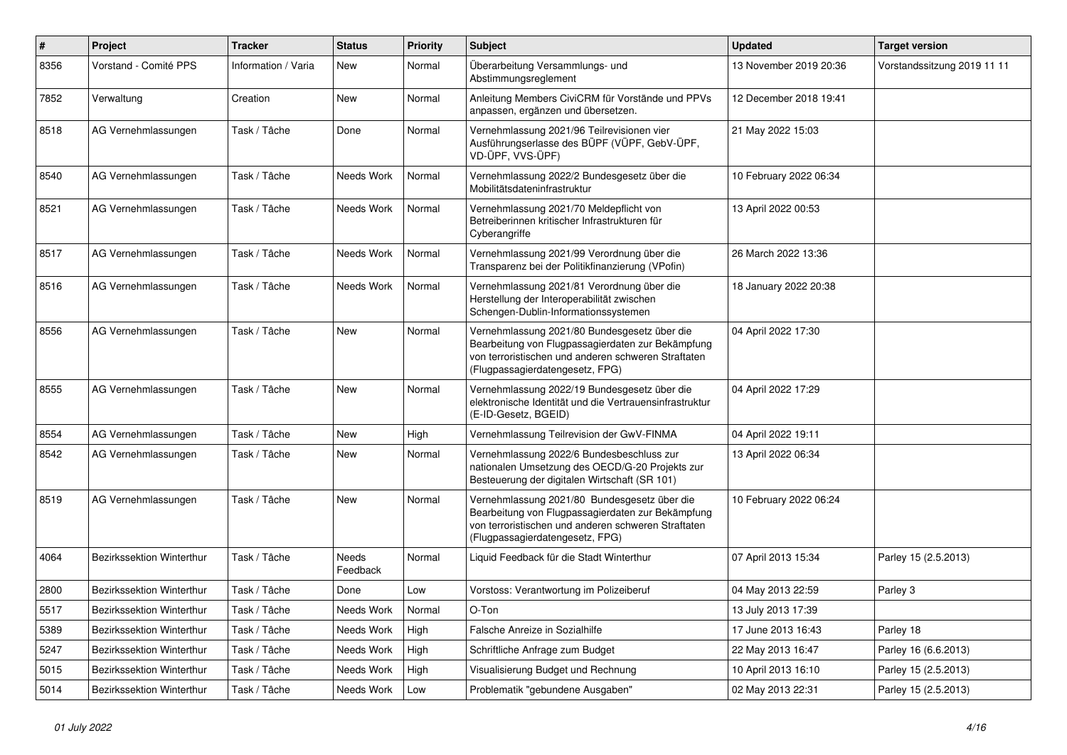| $\sharp$ | Project                   | <b>Tracker</b>      | <b>Status</b>     | <b>Priority</b> | <b>Subject</b>                                                                                                                                                                              | <b>Updated</b>         | <b>Target version</b>       |
|----------|---------------------------|---------------------|-------------------|-----------------|---------------------------------------------------------------------------------------------------------------------------------------------------------------------------------------------|------------------------|-----------------------------|
| 8356     | Vorstand - Comité PPS     | Information / Varia | New               | Normal          | Überarbeitung Versammlungs- und<br>Abstimmungsreglement                                                                                                                                     | 13 November 2019 20:36 | Vorstandssitzung 2019 11 11 |
| 7852     | Verwaltung                | Creation            | <b>New</b>        | Normal          | Anleitung Members CiviCRM für Vorstände und PPVs<br>anpassen, ergänzen und übersetzen.                                                                                                      | 12 December 2018 19:41 |                             |
| 8518     | AG Vernehmlassungen       | Task / Tâche        | Done              | Normal          | Vernehmlassung 2021/96 Teilrevisionen vier<br>Ausführungserlasse des BÜPF (VÜPF, GebV-ÜPF,<br>VD-ÜPF, VVS-ÜPF)                                                                              | 21 May 2022 15:03      |                             |
| 8540     | AG Vernehmlassungen       | Task / Tâche        | Needs Work        | Normal          | Vernehmlassung 2022/2 Bundesgesetz über die<br>Mobilitätsdateninfrastruktur                                                                                                                 | 10 February 2022 06:34 |                             |
| 8521     | AG Vernehmlassungen       | Task / Tâche        | Needs Work        | Normal          | Vernehmlassung 2021/70 Meldepflicht von<br>Betreiberinnen kritischer Infrastrukturen für<br>Cyberangriffe                                                                                   | 13 April 2022 00:53    |                             |
| 8517     | AG Vernehmlassungen       | Task / Tâche        | Needs Work        | Normal          | Vernehmlassung 2021/99 Verordnung über die<br>Transparenz bei der Politikfinanzierung (VPofin)                                                                                              | 26 March 2022 13:36    |                             |
| 8516     | AG Vernehmlassungen       | Task / Tâche        | Needs Work        | Normal          | Vernehmlassung 2021/81 Verordnung über die<br>Herstellung der Interoperabilität zwischen<br>Schengen-Dublin-Informationssystemen                                                            | 18 January 2022 20:38  |                             |
| 8556     | AG Vernehmlassungen       | Task / Tâche        | <b>New</b>        | Normal          | Vernehmlassung 2021/80 Bundesgesetz über die<br>Bearbeitung von Flugpassagierdaten zur Bekämpfung<br>von terroristischen und anderen schweren Straftaten<br>(Flugpassagierdatengesetz, FPG) | 04 April 2022 17:30    |                             |
| 8555     | AG Vernehmlassungen       | Task / Tâche        | <b>New</b>        | Normal          | Vernehmlassung 2022/19 Bundesgesetz über die<br>elektronische Identität und die Vertrauensinfrastruktur<br>(E-ID-Gesetz, BGEID)                                                             | 04 April 2022 17:29    |                             |
| 8554     | AG Vernehmlassungen       | Task / Tâche        | <b>New</b>        | High            | Vernehmlassung Teilrevision der GwV-FINMA                                                                                                                                                   | 04 April 2022 19:11    |                             |
| 8542     | AG Vernehmlassungen       | Task / Tâche        | <b>New</b>        | Normal          | Vernehmlassung 2022/6 Bundesbeschluss zur<br>nationalen Umsetzung des OECD/G-20 Projekts zur<br>Besteuerung der digitalen Wirtschaft (SR 101)                                               | 13 April 2022 06:34    |                             |
| 8519     | AG Vernehmlassungen       | Task / Tâche        | <b>New</b>        | Normal          | Vernehmlassung 2021/80 Bundesgesetz über die<br>Bearbeitung von Flugpassagierdaten zur Bekämpfung<br>von terroristischen und anderen schweren Straftaten<br>(Flugpassagierdatengesetz, FPG) | 10 February 2022 06:24 |                             |
| 4064     | Bezirkssektion Winterthur | Task / Tâche        | Needs<br>Feedback | Normal          | Liquid Feedback für die Stadt Winterthur                                                                                                                                                    | 07 April 2013 15:34    | Parley 15 (2.5.2013)        |
| 2800     | Bezirkssektion Winterthur | Task / Tâche        | Done              | Low             | Vorstoss: Verantwortung im Polizeiberuf                                                                                                                                                     | 04 May 2013 22:59      | Parley 3                    |
| 5517     | Bezirkssektion Winterthur | Task / Tâche        | Needs Work        | Normal          | $O-Ton$                                                                                                                                                                                     | 13 July 2013 17:39     |                             |
| 5389     | Bezirkssektion Winterthur | Task / Tâche        | Needs Work        | High            | Falsche Anreize in Sozialhilfe                                                                                                                                                              | 17 June 2013 16:43     | Parley 18                   |
| 5247     | Bezirkssektion Winterthur | Task / Tâche        | Needs Work        | High            | Schriftliche Anfrage zum Budget                                                                                                                                                             | 22 May 2013 16:47      | Parley 16 (6.6.2013)        |
| 5015     | Bezirkssektion Winterthur | Task / Tâche        | Needs Work        | High            | Visualisierung Budget und Rechnung                                                                                                                                                          | 10 April 2013 16:10    | Parley 15 (2.5.2013)        |
| 5014     | Bezirkssektion Winterthur | Task / Tâche        | Needs Work        | Low             | Problematik "gebundene Ausgaben"                                                                                                                                                            | 02 May 2013 22:31      | Parley 15 (2.5.2013)        |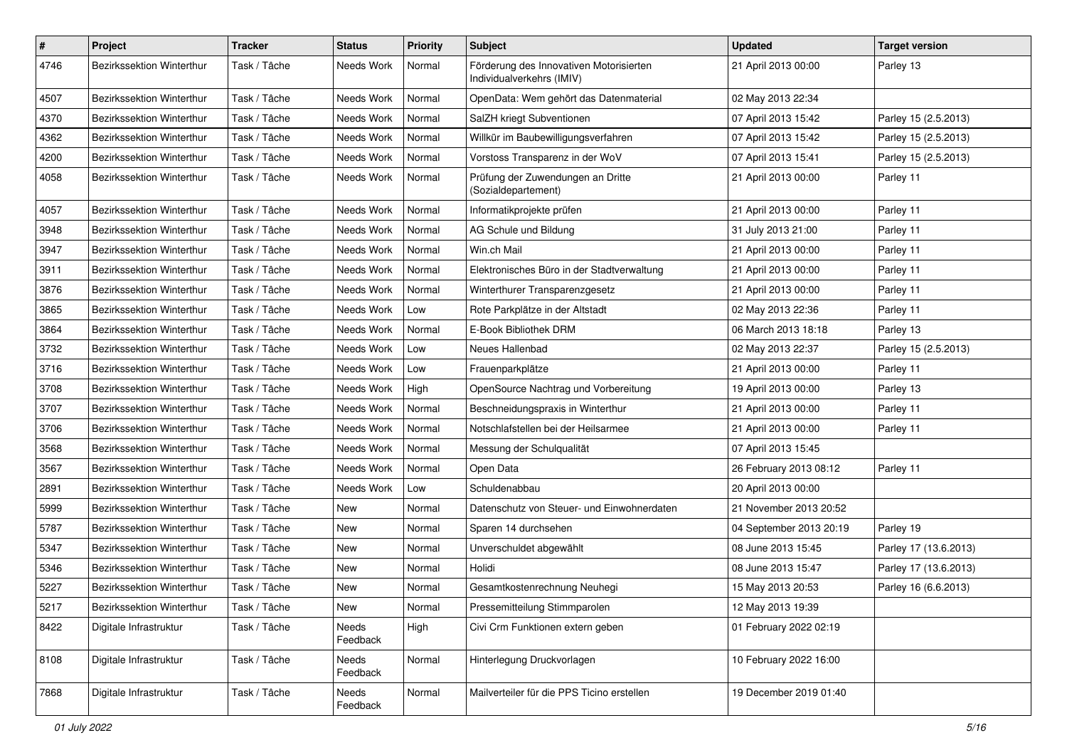| $\#$ | Project                          | <b>Tracker</b> | <b>Status</b>     | <b>Priority</b> | <b>Subject</b>                                                       | <b>Updated</b>          | <b>Target version</b> |
|------|----------------------------------|----------------|-------------------|-----------------|----------------------------------------------------------------------|-------------------------|-----------------------|
| 4746 | Bezirkssektion Winterthur        | Task / Tâche   | Needs Work        | Normal          | Förderung des Innovativen Motorisierten<br>Individualverkehrs (IMIV) | 21 April 2013 00:00     | Parley 13             |
| 4507 | <b>Bezirkssektion Winterthur</b> | Task / Tâche   | Needs Work        | Normal          | OpenData: Wem gehört das Datenmaterial                               | 02 May 2013 22:34       |                       |
| 4370 | Bezirkssektion Winterthur        | Task / Tâche   | Needs Work        | Normal          | SalZH kriegt Subventionen                                            | 07 April 2013 15:42     | Parley 15 (2.5.2013)  |
| 4362 | Bezirkssektion Winterthur        | Task / Tâche   | Needs Work        | Normal          | Willkür im Baubewilligungsverfahren                                  | 07 April 2013 15:42     | Parley 15 (2.5.2013)  |
| 4200 | Bezirkssektion Winterthur        | Task / Tâche   | Needs Work        | Normal          | Vorstoss Transparenz in der WoV                                      | 07 April 2013 15:41     | Parley 15 (2.5.2013)  |
| 4058 | Bezirkssektion Winterthur        | Task / Tâche   | Needs Work        | Normal          | Prüfung der Zuwendungen an Dritte<br>(Sozialdepartement)             | 21 April 2013 00:00     | Parley 11             |
| 4057 | Bezirkssektion Winterthur        | Task / Tâche   | Needs Work        | Normal          | Informatikprojekte prüfen                                            | 21 April 2013 00:00     | Parley 11             |
| 3948 | Bezirkssektion Winterthur        | Task / Tâche   | Needs Work        | Normal          | AG Schule und Bildung                                                | 31 July 2013 21:00      | Parley 11             |
| 3947 | <b>Bezirkssektion Winterthur</b> | Task / Tâche   | Needs Work        | Normal          | Win.ch Mail                                                          | 21 April 2013 00:00     | Parley 11             |
| 3911 | Bezirkssektion Winterthur        | Task / Tâche   | Needs Work        | Normal          | Elektronisches Büro in der Stadtverwaltung                           | 21 April 2013 00:00     | Parley 11             |
| 3876 | Bezirkssektion Winterthur        | Task / Tâche   | Needs Work        | Normal          | Winterthurer Transparenzgesetz                                       | 21 April 2013 00:00     | Parley 11             |
| 3865 | Bezirkssektion Winterthur        | Task / Tâche   | Needs Work        | Low             | Rote Parkplätze in der Altstadt                                      | 02 May 2013 22:36       | Parley 11             |
| 3864 | Bezirkssektion Winterthur        | Task / Tâche   | Needs Work        | Normal          | E-Book Bibliothek DRM                                                | 06 March 2013 18:18     | Parley 13             |
| 3732 | Bezirkssektion Winterthur        | Task / Tâche   | Needs Work        | Low             | Neues Hallenbad                                                      | 02 May 2013 22:37       | Parley 15 (2.5.2013)  |
| 3716 | Bezirkssektion Winterthur        | Task / Tâche   | Needs Work        | Low             | Frauenparkplätze                                                     | 21 April 2013 00:00     | Parley 11             |
| 3708 | Bezirkssektion Winterthur        | Task / Tâche   | Needs Work        | High            | OpenSource Nachtrag und Vorbereitung                                 | 19 April 2013 00:00     | Parley 13             |
| 3707 | Bezirkssektion Winterthur        | Task / Tâche   | Needs Work        | Normal          | Beschneidungspraxis in Winterthur                                    | 21 April 2013 00:00     | Parley 11             |
| 3706 | Bezirkssektion Winterthur        | Task / Tâche   | Needs Work        | Normal          | Notschlafstellen bei der Heilsarmee                                  | 21 April 2013 00:00     | Parley 11             |
| 3568 | Bezirkssektion Winterthur        | Task / Tâche   | Needs Work        | Normal          | Messung der Schulqualität                                            | 07 April 2013 15:45     |                       |
| 3567 | Bezirkssektion Winterthur        | Task / Tâche   | Needs Work        | Normal          | Open Data                                                            | 26 February 2013 08:12  | Parley 11             |
| 2891 | <b>Bezirkssektion Winterthur</b> | Task / Tâche   | Needs Work        | Low             | Schuldenabbau                                                        | 20 April 2013 00:00     |                       |
| 5999 | <b>Bezirkssektion Winterthur</b> | Task / Tâche   | New               | Normal          | Datenschutz von Steuer- und Einwohnerdaten                           | 21 November 2013 20:52  |                       |
| 5787 | Bezirkssektion Winterthur        | Task / Tâche   | New               | Normal          | Sparen 14 durchsehen                                                 | 04 September 2013 20:19 | Parley 19             |
| 5347 | <b>Bezirkssektion Winterthur</b> | Task / Tâche   | <b>New</b>        | Normal          | Unverschuldet abgewählt                                              | 08 June 2013 15:45      | Parley 17 (13.6.2013) |
| 5346 | Bezirkssektion Winterthur        | Task / Tâche   | <b>New</b>        | Normal          | Holidi                                                               | 08 June 2013 15:47      | Parley 17 (13.6.2013) |
| 5227 | Bezirkssektion Winterthur        | Task / Tâche   | <b>New</b>        | Normal          | Gesamtkostenrechnung Neuhegi                                         | 15 May 2013 20:53       | Parley 16 (6.6.2013)  |
| 5217 | Bezirkssektion Winterthur        | Task / Tâche   | New               | Normal          | Pressemitteilung Stimmparolen                                        | 12 May 2013 19:39       |                       |
| 8422 | Digitale Infrastruktur           | Task / Tâche   | Needs<br>Feedback | High            | Civi Crm Funktionen extern geben                                     | 01 February 2022 02:19  |                       |
| 8108 | Digitale Infrastruktur           | Task / Tâche   | Needs<br>Feedback | Normal          | Hinterlegung Druckvorlagen                                           | 10 February 2022 16:00  |                       |
| 7868 | Digitale Infrastruktur           | Task / Tâche   | Needs<br>Feedback | Normal          | Mailverteiler für die PPS Ticino erstellen                           | 19 December 2019 01:40  |                       |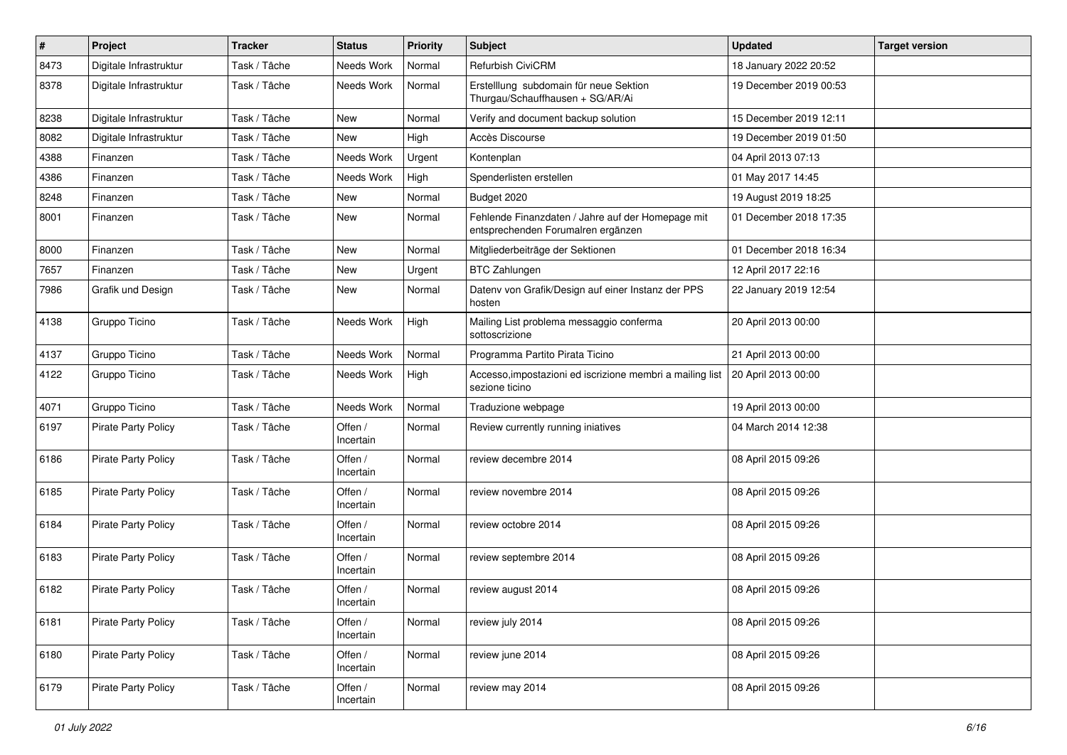| $\sharp$ | Project                    | <b>Tracker</b> | <b>Status</b>        | <b>Priority</b> | Subject                                                                                           | <b>Updated</b>         | <b>Target version</b> |
|----------|----------------------------|----------------|----------------------|-----------------|---------------------------------------------------------------------------------------------------|------------------------|-----------------------|
| 8473     | Digitale Infrastruktur     | Task / Tâche   | Needs Work           | Normal          | Refurbish CiviCRM                                                                                 | 18 January 2022 20:52  |                       |
| 8378     | Digitale Infrastruktur     | Task / Tâche   | Needs Work           | Normal          | Erstelllung subdomain für neue Sektion<br>Thurgau/Schauffhausen + SG/AR/Ai                        | 19 December 2019 00:53 |                       |
| 8238     | Digitale Infrastruktur     | Task / Tâche   | <b>New</b>           | Normal          | Verify and document backup solution                                                               | 15 December 2019 12:11 |                       |
| 8082     | Digitale Infrastruktur     | Task / Tâche   | <b>New</b>           | High            | Accès Discourse                                                                                   | 19 December 2019 01:50 |                       |
| 4388     | Finanzen                   | Task / Tâche   | Needs Work           | Urgent          | Kontenplan                                                                                        | 04 April 2013 07:13    |                       |
| 4386     | Finanzen                   | Task / Tâche   | Needs Work           | High            | Spenderlisten erstellen                                                                           | 01 May 2017 14:45      |                       |
| 8248     | Finanzen                   | Task / Tâche   | New                  | Normal          | Budget 2020                                                                                       | 19 August 2019 18:25   |                       |
| 8001     | Finanzen                   | Task / Tâche   | New                  | Normal          | Fehlende Finanzdaten / Jahre auf der Homepage mit<br>entsprechenden Forumalren ergänzen           | 01 December 2018 17:35 |                       |
| 8000     | Finanzen                   | Task / Tâche   | New                  | Normal          | Mitgliederbeiträge der Sektionen                                                                  | 01 December 2018 16:34 |                       |
| 7657     | Finanzen                   | Task / Tâche   | <b>New</b>           | Urgent          | <b>BTC Zahlungen</b>                                                                              | 12 April 2017 22:16    |                       |
| 7986     | Grafik und Design          | Task / Tâche   | New                  | Normal          | Datenv von Grafik/Design auf einer Instanz der PPS<br>hosten                                      | 22 January 2019 12:54  |                       |
| 4138     | Gruppo Ticino              | Task / Tâche   | Needs Work           | High            | Mailing List problema messaggio conferma<br>sottoscrizione                                        | 20 April 2013 00:00    |                       |
| 4137     | Gruppo Ticino              | Task / Tâche   | Needs Work           | Normal          | Programma Partito Pirata Ticino                                                                   | 21 April 2013 00:00    |                       |
| 4122     | Gruppo Ticino              | Task / Tâche   | Needs Work           | High            | Accesso, impostazioni ed iscrizione membri a mailing list   20 April 2013 00:00<br>sezione ticino |                        |                       |
| 4071     | Gruppo Ticino              | Task / Tâche   | Needs Work           | Normal          | Traduzione webpage                                                                                | 19 April 2013 00:00    |                       |
| 6197     | <b>Pirate Party Policy</b> | Task / Tâche   | Offen /<br>Incertain | Normal          | Review currently running iniatives                                                                | 04 March 2014 12:38    |                       |
| 6186     | <b>Pirate Party Policy</b> | Task / Tâche   | Offen /<br>Incertain | Normal          | review decembre 2014                                                                              | 08 April 2015 09:26    |                       |
| 6185     | <b>Pirate Party Policy</b> | Task / Tâche   | Offen /<br>Incertain | Normal          | review novembre 2014                                                                              | 08 April 2015 09:26    |                       |
| 6184     | <b>Pirate Party Policy</b> | Task / Tâche   | Offen /<br>Incertain | Normal          | review octobre 2014                                                                               | 08 April 2015 09:26    |                       |
| 6183     | <b>Pirate Party Policy</b> | Task / Tâche   | Offen /<br>Incertain | Normal          | review septembre 2014                                                                             | 08 April 2015 09:26    |                       |
| 6182     | Pirate Party Policy        | Task / Tâche   | Offen /<br>Incertain | Normal          | review august 2014                                                                                | 08 April 2015 09:26    |                       |
| 6181     | <b>Pirate Party Policy</b> | Task / Tâche   | Offen /<br>Incertain | Normal          | review july 2014                                                                                  | 08 April 2015 09:26    |                       |
| 6180     | Pirate Party Policy        | Task / Tâche   | Offen /<br>Incertain | Normal          | review june 2014                                                                                  | 08 April 2015 09:26    |                       |
| 6179     | Pirate Party Policy        | Task / Tâche   | Offen /<br>Incertain | Normal          | review may 2014                                                                                   | 08 April 2015 09:26    |                       |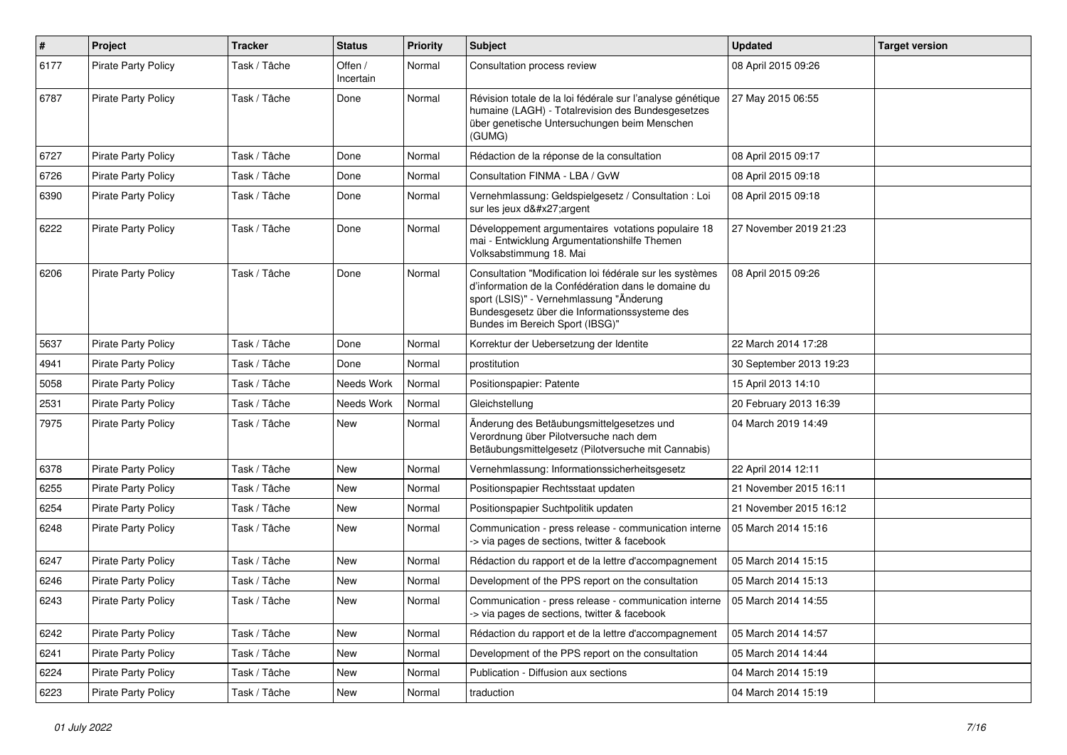| $\pmb{\#}$ | Project                    | <b>Tracker</b> | <b>Status</b>        | <b>Priority</b> | <b>Subject</b>                                                                                                                                                                                                                                   | <b>Updated</b>          | <b>Target version</b> |
|------------|----------------------------|----------------|----------------------|-----------------|--------------------------------------------------------------------------------------------------------------------------------------------------------------------------------------------------------------------------------------------------|-------------------------|-----------------------|
| 6177       | <b>Pirate Party Policy</b> | Task / Tâche   | Offen /<br>Incertain | Normal          | Consultation process review                                                                                                                                                                                                                      | 08 April 2015 09:26     |                       |
| 6787       | <b>Pirate Party Policy</b> | Task / Tâche   | Done                 | Normal          | Révision totale de la loi fédérale sur l'analyse génétique<br>humaine (LAGH) - Totalrevision des Bundesgesetzes<br>über genetische Untersuchungen beim Menschen<br>(GUMG)                                                                        | 27 May 2015 06:55       |                       |
| 6727       | Pirate Party Policy        | Task / Tâche   | Done                 | Normal          | Rédaction de la réponse de la consultation                                                                                                                                                                                                       | 08 April 2015 09:17     |                       |
| 6726       | <b>Pirate Party Policy</b> | Task / Tâche   | Done                 | Normal          | Consultation FINMA - LBA / GvW                                                                                                                                                                                                                   | 08 April 2015 09:18     |                       |
| 6390       | Pirate Party Policy        | Task / Tâche   | Done                 | Normal          | Vernehmlassung: Geldspielgesetz / Consultation : Loi<br>sur les jeux d'argent                                                                                                                                                                    | 08 April 2015 09:18     |                       |
| 6222       | <b>Pirate Party Policy</b> | Task / Tâche   | Done                 | Normal          | Développement argumentaires votations populaire 18<br>mai - Entwicklung Argumentationshilfe Themen<br>Volksabstimmung 18. Mai                                                                                                                    | 27 November 2019 21:23  |                       |
| 6206       | <b>Pirate Party Policy</b> | Task / Tâche   | Done                 | Normal          | Consultation "Modification loi fédérale sur les systèmes<br>d'information de la Confédération dans le domaine du<br>sport (LSIS)" - Vernehmlassung "Änderung<br>Bundesgesetz über die Informationssysteme des<br>Bundes im Bereich Sport (IBSG)" | 08 April 2015 09:26     |                       |
| 5637       | <b>Pirate Party Policy</b> | Task / Tâche   | Done                 | Normal          | Korrektur der Uebersetzung der Identite                                                                                                                                                                                                          | 22 March 2014 17:28     |                       |
| 4941       | <b>Pirate Party Policy</b> | Task / Tâche   | Done                 | Normal          | prostitution                                                                                                                                                                                                                                     | 30 September 2013 19:23 |                       |
| 5058       | Pirate Party Policy        | Task / Tâche   | Needs Work           | Normal          | Positionspapier: Patente                                                                                                                                                                                                                         | 15 April 2013 14:10     |                       |
| 2531       | <b>Pirate Party Policy</b> | Task / Tâche   | Needs Work           | Normal          | Gleichstellung                                                                                                                                                                                                                                   | 20 February 2013 16:39  |                       |
| 7975       | Pirate Party Policy        | Task / Tâche   | New                  | Normal          | Änderung des Betäubungsmittelgesetzes und<br>Verordnung über Pilotversuche nach dem<br>Betäubungsmittelgesetz (Pilotversuche mit Cannabis)                                                                                                       | 04 March 2019 14:49     |                       |
| 6378       | <b>Pirate Party Policy</b> | Task / Tâche   | New                  | Normal          | Vernehmlassung: Informationssicherheitsgesetz                                                                                                                                                                                                    | 22 April 2014 12:11     |                       |
| 6255       | Pirate Party Policy        | Task / Tâche   | New                  | Normal          | Positionspapier Rechtsstaat updaten                                                                                                                                                                                                              | 21 November 2015 16:11  |                       |
| 6254       | <b>Pirate Party Policy</b> | Task / Tâche   | New                  | Normal          | Positionspapier Suchtpolitik updaten                                                                                                                                                                                                             | 21 November 2015 16:12  |                       |
| 6248       | <b>Pirate Party Policy</b> | Task / Tâche   | New                  | Normal          | Communication - press release - communication interne<br>-> via pages de sections, twitter & facebook                                                                                                                                            | 05 March 2014 15:16     |                       |
| 6247       | Pirate Party Policy        | Task / Tâche   | New                  | Normal          | Rédaction du rapport et de la lettre d'accompagnement                                                                                                                                                                                            | 05 March 2014 15:15     |                       |
| 6246       | Pirate Party Policy        | Task / Tâche   | <b>New</b>           | Normal          | Development of the PPS report on the consultation                                                                                                                                                                                                | 05 March 2014 15:13     |                       |
| 6243       | Pirate Party Policy        | Task / Tâche   | New                  | Normal          | Communication - press release - communication interne<br>-> via pages de sections, twitter & facebook                                                                                                                                            | 05 March 2014 14:55     |                       |
| 6242       | <b>Pirate Party Policy</b> | Task / Tâche   | New                  | Normal          | Rédaction du rapport et de la lettre d'accompagnement                                                                                                                                                                                            | 05 March 2014 14:57     |                       |
| 6241       | <b>Pirate Party Policy</b> | Task / Tâche   | New                  | Normal          | Development of the PPS report on the consultation                                                                                                                                                                                                | 05 March 2014 14:44     |                       |
| 6224       | Pirate Party Policy        | Task / Tâche   | New                  | Normal          | Publication - Diffusion aux sections                                                                                                                                                                                                             | 04 March 2014 15:19     |                       |
| 6223       | Pirate Party Policy        | Task / Tâche   | New                  | Normal          | traduction                                                                                                                                                                                                                                       | 04 March 2014 15:19     |                       |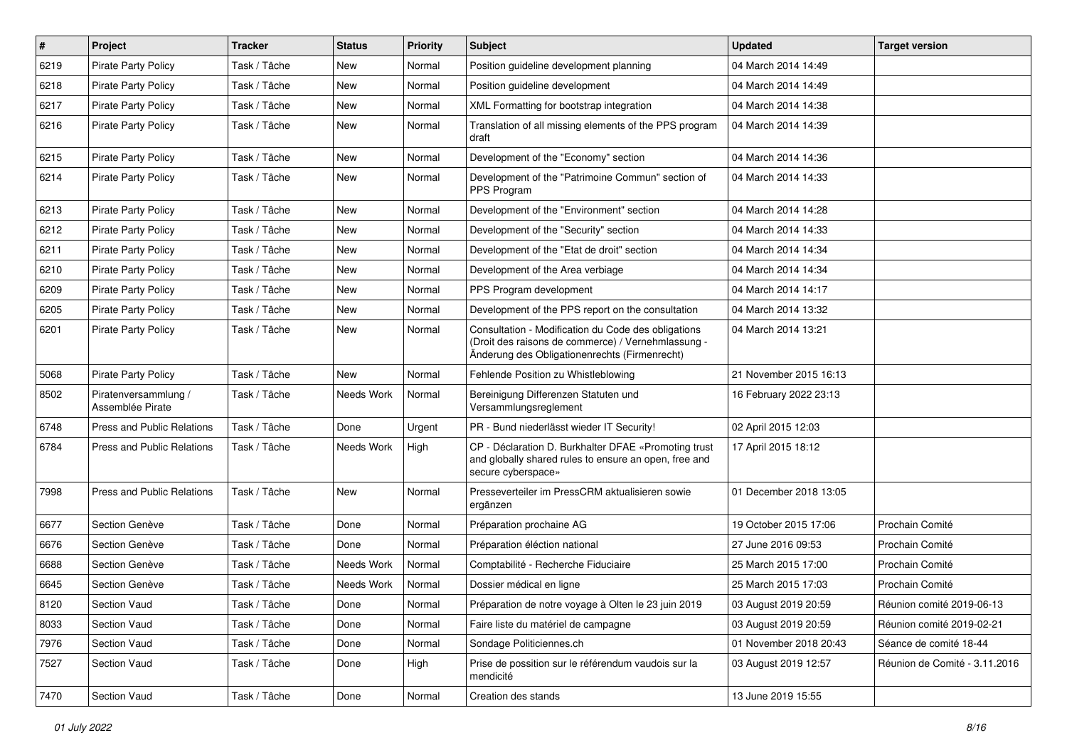| ∦    | Project                                  | <b>Tracker</b> | <b>Status</b> | <b>Priority</b> | <b>Subject</b>                                                                                                                                             | <b>Updated</b>         | <b>Target version</b>         |
|------|------------------------------------------|----------------|---------------|-----------------|------------------------------------------------------------------------------------------------------------------------------------------------------------|------------------------|-------------------------------|
| 6219 | Pirate Party Policy                      | Task / Tâche   | New           | Normal          | Position guideline development planning                                                                                                                    | 04 March 2014 14:49    |                               |
| 6218 | <b>Pirate Party Policy</b>               | Task / Tâche   | <b>New</b>    | Normal          | Position guideline development                                                                                                                             | 04 March 2014 14:49    |                               |
| 6217 | <b>Pirate Party Policy</b>               | Task / Tâche   | New           | Normal          | XML Formatting for bootstrap integration                                                                                                                   | 04 March 2014 14:38    |                               |
| 6216 | <b>Pirate Party Policy</b>               | Task / Tâche   | New           | Normal          | Translation of all missing elements of the PPS program<br>draft                                                                                            | 04 March 2014 14:39    |                               |
| 6215 | <b>Pirate Party Policy</b>               | Task / Tâche   | New           | Normal          | Development of the "Economy" section                                                                                                                       | 04 March 2014 14:36    |                               |
| 6214 | <b>Pirate Party Policy</b>               | Task / Tâche   | <b>New</b>    | Normal          | Development of the "Patrimoine Commun" section of<br>PPS Program                                                                                           | 04 March 2014 14:33    |                               |
| 6213 | Pirate Party Policy                      | Task / Tâche   | New           | Normal          | Development of the "Environment" section                                                                                                                   | 04 March 2014 14:28    |                               |
| 6212 | <b>Pirate Party Policy</b>               | Task / Tâche   | <b>New</b>    | Normal          | Development of the "Security" section                                                                                                                      | 04 March 2014 14:33    |                               |
| 6211 | <b>Pirate Party Policy</b>               | Task / Tâche   | New           | Normal          | Development of the "Etat de droit" section                                                                                                                 | 04 March 2014 14:34    |                               |
| 6210 | <b>Pirate Party Policy</b>               | Task / Tâche   | New           | Normal          | Development of the Area verbiage                                                                                                                           | 04 March 2014 14:34    |                               |
| 6209 | <b>Pirate Party Policy</b>               | Task / Tâche   | New           | Normal          | PPS Program development                                                                                                                                    | 04 March 2014 14:17    |                               |
| 6205 | <b>Pirate Party Policy</b>               | Task / Tâche   | New           | Normal          | Development of the PPS report on the consultation                                                                                                          | 04 March 2014 13:32    |                               |
| 6201 | <b>Pirate Party Policy</b>               | Task / Tâche   | New           | Normal          | Consultation - Modification du Code des obligations<br>(Droit des raisons de commerce) / Vernehmlassung -<br>Änderung des Obligationenrechts (Firmenrecht) | 04 March 2014 13:21    |                               |
| 5068 | <b>Pirate Party Policy</b>               | Task / Tâche   | <b>New</b>    | Normal          | Fehlende Position zu Whistleblowing                                                                                                                        | 21 November 2015 16:13 |                               |
| 8502 | Piratenversammlung /<br>Assemblée Pirate | Task / Tâche   | Needs Work    | Normal          | Bereinigung Differenzen Statuten und<br>Versammlungsreglement                                                                                              | 16 February 2022 23:13 |                               |
| 6748 | Press and Public Relations               | Task / Tâche   | Done          | Urgent          | PR - Bund niederlässt wieder IT Security!                                                                                                                  | 02 April 2015 12:03    |                               |
| 6784 | Press and Public Relations               | Task / Tâche   | Needs Work    | High            | CP - Déclaration D. Burkhalter DFAE «Promoting trust<br>and globally shared rules to ensure an open, free and<br>secure cyberspace»                        | 17 April 2015 18:12    |                               |
| 7998 | Press and Public Relations               | Task / Tâche   | New           | Normal          | Presseverteiler im PressCRM aktualisieren sowie<br>ergänzen                                                                                                | 01 December 2018 13:05 |                               |
| 6677 | Section Genève                           | Task / Tâche   | Done          | Normal          | Préparation prochaine AG                                                                                                                                   | 19 October 2015 17:06  | Prochain Comité               |
| 6676 | Section Genève                           | Task / Tâche   | Done          | Normal          | Préparation éléction national                                                                                                                              | 27 June 2016 09:53     | Prochain Comité               |
| 6688 | Section Genève                           | Task / Tâche   | Needs Work    | Normal          | Comptabilité - Recherche Fiduciaire                                                                                                                        | 25 March 2015 17:00    | Prochain Comité               |
| 6645 | Section Genève                           | Task / Tâche   | Needs Work    | Normal          | Dossier médical en ligne                                                                                                                                   | 25 March 2015 17:03    | Prochain Comité               |
| 8120 | Section Vaud                             | Task / Tâche   | Done          | Normal          | Préparation de notre voyage à Olten le 23 juin 2019                                                                                                        | 03 August 2019 20:59   | Réunion comité 2019-06-13     |
| 8033 | Section Vaud                             | Task / Tâche   | Done          | Normal          | Faire liste du matériel de campagne                                                                                                                        | 03 August 2019 20:59   | Réunion comité 2019-02-21     |
| 7976 | Section Vaud                             | Task / Tâche   | Done          | Normal          | Sondage Politiciennes.ch                                                                                                                                   | 01 November 2018 20:43 | Séance de comité 18-44        |
| 7527 | Section Vaud                             | Task / Tâche   | Done          | High            | Prise de possition sur le référendum vaudois sur la<br>mendicité                                                                                           | 03 August 2019 12:57   | Réunion de Comité - 3.11.2016 |
| 7470 | Section Vaud                             | Task / Tâche   | Done          | Normal          | Creation des stands                                                                                                                                        | 13 June 2019 15:55     |                               |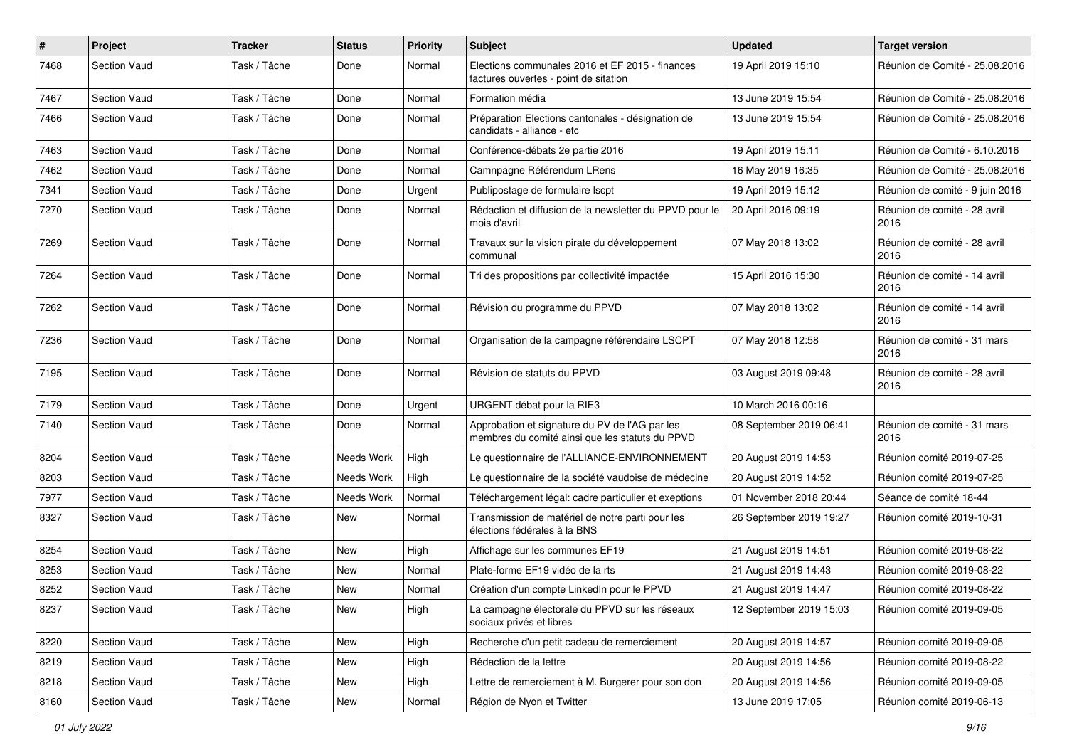| $\#$ | Project             | <b>Tracker</b> | <b>Status</b> | <b>Priority</b> | Subject                                                                                           | <b>Updated</b>          | <b>Target version</b>                |
|------|---------------------|----------------|---------------|-----------------|---------------------------------------------------------------------------------------------------|-------------------------|--------------------------------------|
| 7468 | <b>Section Vaud</b> | Task / Tâche   | Done          | Normal          | Elections communales 2016 et EF 2015 - finances<br>factures ouvertes - point de sitation          | 19 April 2019 15:10     | Réunion de Comité - 25.08.2016       |
| 7467 | <b>Section Vaud</b> | Task / Tâche   | Done          | Normal          | Formation média                                                                                   | 13 June 2019 15:54      | Réunion de Comité - 25.08.2016       |
| 7466 | <b>Section Vaud</b> | Task / Tâche   | Done          | Normal          | Préparation Elections cantonales - désignation de<br>candidats - alliance - etc                   | 13 June 2019 15:54      | Réunion de Comité - 25.08.2016       |
| 7463 | <b>Section Vaud</b> | Task / Tâche   | Done          | Normal          | Conférence-débats 2e partie 2016                                                                  | 19 April 2019 15:11     | Réunion de Comité - 6.10.2016        |
| 7462 | <b>Section Vaud</b> | Task / Tâche   | Done          | Normal          | Camnpagne Référendum LRens                                                                        | 16 May 2019 16:35       | Réunion de Comité - 25.08.2016       |
| 7341 | <b>Section Vaud</b> | Task / Tâche   | Done          | Urgent          | Publipostage de formulaire Iscpt                                                                  | 19 April 2019 15:12     | Réunion de comité - 9 juin 2016      |
| 7270 | <b>Section Vaud</b> | Task / Tâche   | Done          | Normal          | Rédaction et diffusion de la newsletter du PPVD pour le<br>mois d'avril                           | 20 April 2016 09:19     | Réunion de comité - 28 avril<br>2016 |
| 7269 | <b>Section Vaud</b> | Task / Tâche   | Done          | Normal          | Travaux sur la vision pirate du développement<br>communal                                         | 07 May 2018 13:02       | Réunion de comité - 28 avril<br>2016 |
| 7264 | Section Vaud        | Task / Tâche   | Done          | Normal          | Tri des propositions par collectivité impactée                                                    | 15 April 2016 15:30     | Réunion de comité - 14 avril<br>2016 |
| 7262 | <b>Section Vaud</b> | Task / Tâche   | Done          | Normal          | Révision du programme du PPVD                                                                     | 07 May 2018 13:02       | Réunion de comité - 14 avril<br>2016 |
| 7236 | <b>Section Vaud</b> | Task / Tâche   | Done          | Normal          | Organisation de la campagne référendaire LSCPT                                                    | 07 May 2018 12:58       | Réunion de comité - 31 mars<br>2016  |
| 7195 | <b>Section Vaud</b> | Task / Tâche   | Done          | Normal          | Révision de statuts du PPVD                                                                       | 03 August 2019 09:48    | Réunion de comité - 28 avril<br>2016 |
| 7179 | <b>Section Vaud</b> | Task / Tâche   | Done          | Urgent          | URGENT débat pour la RIE3                                                                         | 10 March 2016 00:16     |                                      |
| 7140 | <b>Section Vaud</b> | Task / Tâche   | Done          | Normal          | Approbation et signature du PV de l'AG par les<br>membres du comité ainsi que les statuts du PPVD | 08 September 2019 06:41 | Réunion de comité - 31 mars<br>2016  |
| 8204 | Section Vaud        | Task / Tâche   | Needs Work    | High            | Le questionnaire de l'ALLIANCE-ENVIRONNEMENT                                                      | 20 August 2019 14:53    | Réunion comité 2019-07-25            |
| 8203 | <b>Section Vaud</b> | Task / Tâche   | Needs Work    | High            | Le questionnaire de la société vaudoise de médecine                                               | 20 August 2019 14:52    | Réunion comité 2019-07-25            |
| 7977 | <b>Section Vaud</b> | Task / Tâche   | Needs Work    | Normal          | Téléchargement légal: cadre particulier et exeptions                                              | 01 November 2018 20:44  | Séance de comité 18-44               |
| 8327 | <b>Section Vaud</b> | Task / Tâche   | <b>New</b>    | Normal          | Transmission de matériel de notre parti pour les<br>élections fédérales à la BNS                  | 26 September 2019 19:27 | Réunion comité 2019-10-31            |
| 8254 | <b>Section Vaud</b> | Task / Tâche   | <b>New</b>    | High            | Affichage sur les communes EF19                                                                   | 21 August 2019 14:51    | Réunion comité 2019-08-22            |
| 8253 | <b>Section Vaud</b> | Task / Tâche   | New           | Normal          | Plate-forme EF19 vidéo de la rts                                                                  | 21 August 2019 14:43    | Réunion comité 2019-08-22            |
| 8252 | <b>Section Vaud</b> | Task / Tâche   | New           | Normal          | Création d'un compte LinkedIn pour le PPVD                                                        | 21 August 2019 14:47    | Réunion comité 2019-08-22            |
| 8237 | <b>Section Vaud</b> | Task / Tâche   | New           | High            | La campagne électorale du PPVD sur les réseaux<br>sociaux privés et libres                        | 12 September 2019 15:03 | Réunion comité 2019-09-05            |
| 8220 | Section Vaud        | Task / Tâche   | New           | High            | Recherche d'un petit cadeau de remerciement                                                       | 20 August 2019 14:57    | Réunion comité 2019-09-05            |
| 8219 | Section Vaud        | Task / Tâche   | New           | High            | Rédaction de la lettre                                                                            | 20 August 2019 14:56    | Réunion comité 2019-08-22            |
| 8218 | Section Vaud        | Task / Tâche   | New           | High            | Lettre de remerciement à M. Burgerer pour son don                                                 | 20 August 2019 14:56    | Réunion comité 2019-09-05            |
| 8160 | Section Vaud        | Task / Tâche   | New           | Normal          | Région de Nyon et Twitter                                                                         | 13 June 2019 17:05      | Réunion comité 2019-06-13            |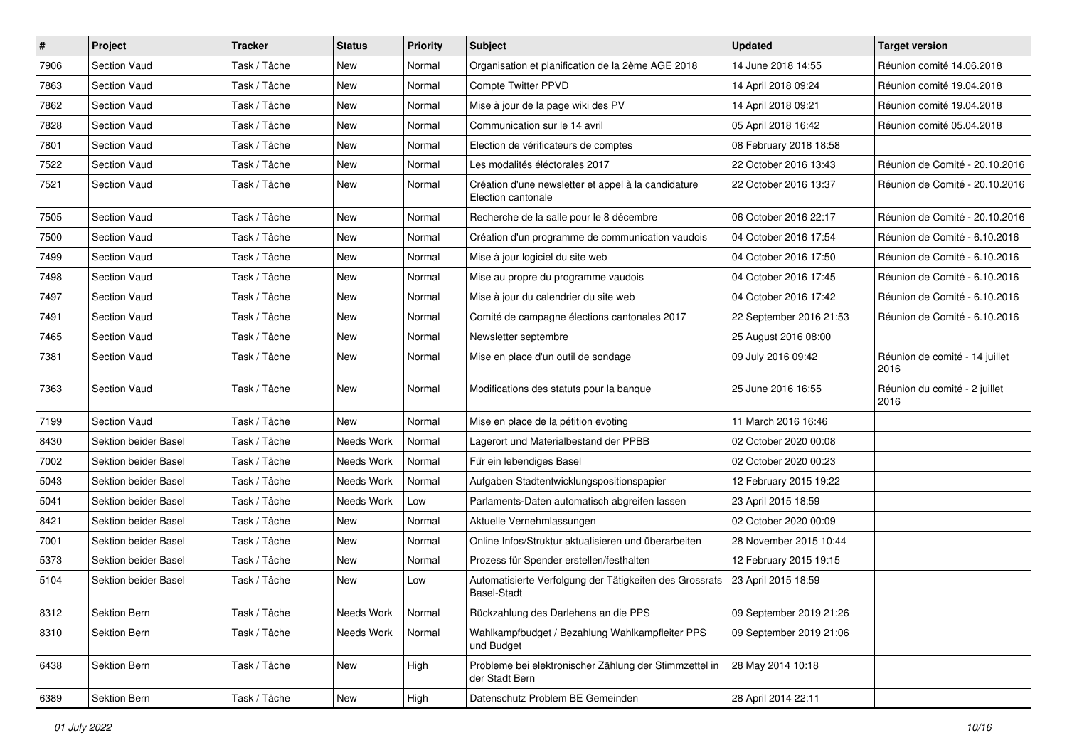| $\pmb{\#}$ | Project              | <b>Tracker</b> | <b>Status</b> | <b>Priority</b> | Subject                                                                       | <b>Updated</b>          | <b>Target version</b>                  |
|------------|----------------------|----------------|---------------|-----------------|-------------------------------------------------------------------------------|-------------------------|----------------------------------------|
| 7906       | <b>Section Vaud</b>  | Task / Tâche   | New           | Normal          | Organisation et planification de la 2ème AGE 2018                             | 14 June 2018 14:55      | Réunion comité 14.06.2018              |
| 7863       | <b>Section Vaud</b>  | Task / Tâche   | <b>New</b>    | Normal          | Compte Twitter PPVD                                                           | 14 April 2018 09:24     | Réunion comité 19.04.2018              |
| 7862       | <b>Section Vaud</b>  | Task / Tâche   | New           | Normal          | Mise à jour de la page wiki des PV                                            | 14 April 2018 09:21     | Réunion comité 19.04.2018              |
| 7828       | <b>Section Vaud</b>  | Task / Tâche   | New           | Normal          | Communication sur le 14 avril                                                 | 05 April 2018 16:42     | Réunion comité 05.04.2018              |
| 7801       | <b>Section Vaud</b>  | Task / Tâche   | <b>New</b>    | Normal          | Election de vérificateurs de comptes                                          | 08 February 2018 18:58  |                                        |
| 7522       | <b>Section Vaud</b>  | Task / Tâche   | New           | Normal          | Les modalités éléctorales 2017                                                | 22 October 2016 13:43   | Réunion de Comité - 20.10.2016         |
| 7521       | <b>Section Vaud</b>  | Task / Tâche   | New           | Normal          | Création d'une newsletter et appel à la candidature<br>Election cantonale     | 22 October 2016 13:37   | Réunion de Comité - 20.10.2016         |
| 7505       | Section Vaud         | Task / Tâche   | <b>New</b>    | Normal          | Recherche de la salle pour le 8 décembre                                      | 06 October 2016 22:17   | Réunion de Comité - 20.10.2016         |
| 7500       | <b>Section Vaud</b>  | Task / Tâche   | <b>New</b>    | Normal          | Création d'un programme de communication vaudois                              | 04 October 2016 17:54   | Réunion de Comité - 6.10.2016          |
| 7499       | <b>Section Vaud</b>  | Task / Tâche   | New           | Normal          | Mise à jour logiciel du site web                                              | 04 October 2016 17:50   | Réunion de Comité - 6.10.2016          |
| 7498       | <b>Section Vaud</b>  | Task / Tâche   | <b>New</b>    | Normal          | Mise au propre du programme vaudois                                           | 04 October 2016 17:45   | Réunion de Comité - 6.10.2016          |
| 7497       | <b>Section Vaud</b>  | Task / Tâche   | <b>New</b>    | Normal          | Mise à jour du calendrier du site web                                         | 04 October 2016 17:42   | Réunion de Comité - 6.10.2016          |
| 7491       | <b>Section Vaud</b>  | Task / Tâche   | New           | Normal          | Comité de campagne élections cantonales 2017                                  | 22 September 2016 21:53 | Réunion de Comité - 6.10.2016          |
| 7465       | <b>Section Vaud</b>  | Task / Tâche   | <b>New</b>    | Normal          | Newsletter septembre                                                          | 25 August 2016 08:00    |                                        |
| 7381       | <b>Section Vaud</b>  | Task / Tâche   | New           | Normal          | Mise en place d'un outil de sondage                                           | 09 July 2016 09:42      | Réunion de comité - 14 juillet<br>2016 |
| 7363       | Section Vaud         | Task / Tâche   | New           | Normal          | Modifications des statuts pour la banque                                      | 25 June 2016 16:55      | Réunion du comité - 2 juillet<br>2016  |
| 7199       | Section Vaud         | Task / Tâche   | New           | Normal          | Mise en place de la pétition evoting                                          | 11 March 2016 16:46     |                                        |
| 8430       | Sektion beider Basel | Task / Tâche   | Needs Work    | Normal          | Lagerort und Materialbestand der PPBB                                         | 02 October 2020 00:08   |                                        |
| 7002       | Sektion beider Basel | Task / Tâche   | Needs Work    | Normal          | Für ein lebendiges Basel                                                      | 02 October 2020 00:23   |                                        |
| 5043       | Sektion beider Basel | Task / Tâche   | Needs Work    | Normal          | Aufgaben Stadtentwicklungspositionspapier                                     | 12 February 2015 19:22  |                                        |
| 5041       | Sektion beider Basel | Task / Tâche   | Needs Work    | Low             | Parlaments-Daten automatisch abgreifen lassen                                 | 23 April 2015 18:59     |                                        |
| 8421       | Sektion beider Basel | Task / Tâche   | New           | Normal          | Aktuelle Vernehmlassungen                                                     | 02 October 2020 00:09   |                                        |
| 7001       | Sektion beider Basel | Task / Tâche   | <b>New</b>    | Normal          | Online Infos/Struktur aktualisieren und überarbeiten                          | 28 November 2015 10:44  |                                        |
| 5373       | Sektion beider Basel | Task / Tâche   | New           | Normal          | Prozess für Spender erstellen/festhalten                                      | 12 February 2015 19:15  |                                        |
| 5104       | Sektion beider Basel | Task / Tâche   | New           | Low             | Automatisierte Verfolgung der Tätigkeiten des Grossrats<br><b>Basel-Stadt</b> | 23 April 2015 18:59     |                                        |
| 8312       | Sektion Bern         | Task / Tâche   | Needs Work    | Normal          | Rückzahlung des Darlehens an die PPS                                          | 09 September 2019 21:26 |                                        |
| 8310       | Sektion Bern         | Task / Tâche   | Needs Work    | Normal          | Wahlkampfbudget / Bezahlung Wahlkampfleiter PPS<br>und Budget                 | 09 September 2019 21:06 |                                        |
| 6438       | Sektion Bern         | Task / Tâche   | New           | High            | Probleme bei elektronischer Zählung der Stimmzettel in<br>der Stadt Bern      | 28 May 2014 10:18       |                                        |
| 6389       | Sektion Bern         | Task / Tâche   | New           | High            | Datenschutz Problem BE Gemeinden                                              | 28 April 2014 22:11     |                                        |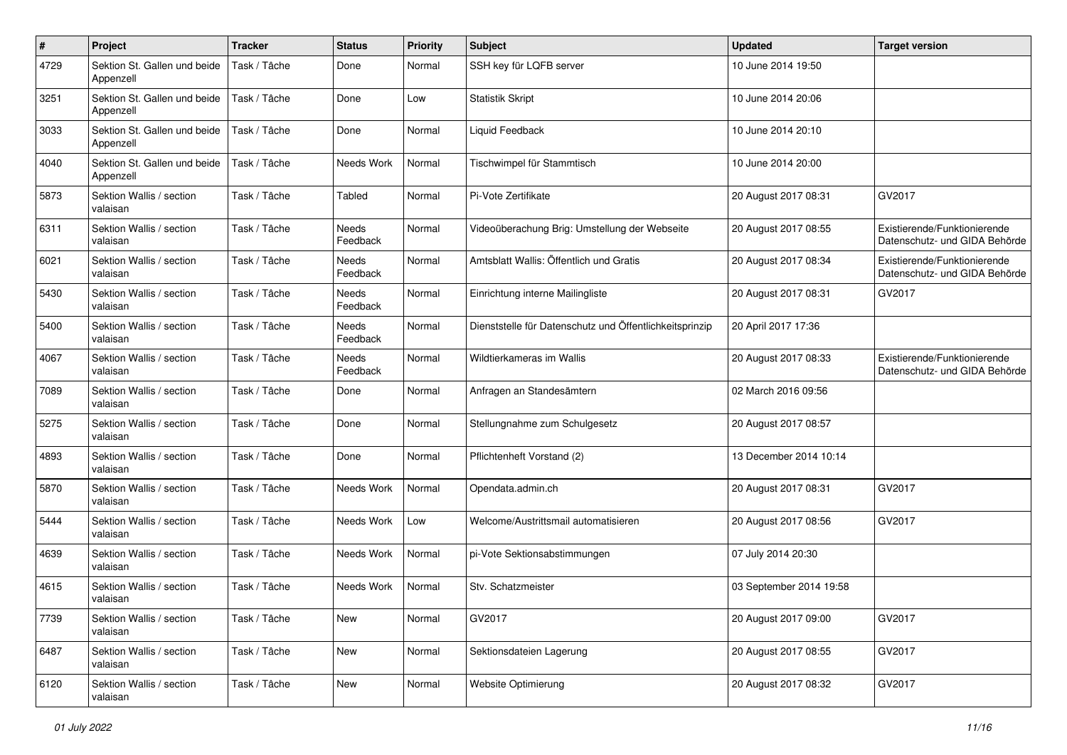| $\#$ | Project                                   | <b>Tracker</b> | <b>Status</b>            | <b>Priority</b> | Subject                                                 | <b>Updated</b>          | <b>Target version</b>                                         |
|------|-------------------------------------------|----------------|--------------------------|-----------------|---------------------------------------------------------|-------------------------|---------------------------------------------------------------|
| 4729 | Sektion St. Gallen und beide<br>Appenzell | Task / Tâche   | Done                     | Normal          | SSH key für LQFB server                                 | 10 June 2014 19:50      |                                                               |
| 3251 | Sektion St. Gallen und beide<br>Appenzell | Task / Tâche   | Done                     | Low             | <b>Statistik Skript</b>                                 | 10 June 2014 20:06      |                                                               |
| 3033 | Sektion St. Gallen und beide<br>Appenzell | Task / Tâche   | Done                     | Normal          | Liquid Feedback                                         | 10 June 2014 20:10      |                                                               |
| 4040 | Sektion St. Gallen und beide<br>Appenzell | Task / Tâche   | Needs Work               | Normal          | Tischwimpel für Stammtisch                              | 10 June 2014 20:00      |                                                               |
| 5873 | Sektion Wallis / section<br>valaisan      | Task / Tâche   | Tabled                   | Normal          | Pi-Vote Zertifikate                                     | 20 August 2017 08:31    | GV2017                                                        |
| 6311 | Sektion Wallis / section<br>valaisan      | Task / Tâche   | Needs<br>Feedback        | Normal          | Videoüberachung Brig: Umstellung der Webseite           | 20 August 2017 08:55    | Existierende/Funktionierende<br>Datenschutz- und GIDA Behörde |
| 6021 | Sektion Wallis / section<br>valaisan      | Task / Tâche   | <b>Needs</b><br>Feedback | Normal          | Amtsblatt Wallis: Öffentlich und Gratis                 | 20 August 2017 08:34    | Existierende/Funktionierende<br>Datenschutz- und GIDA Behörde |
| 5430 | Sektion Wallis / section<br>valaisan      | Task / Tâche   | Needs<br>Feedback        | Normal          | Einrichtung interne Mailingliste                        | 20 August 2017 08:31    | GV2017                                                        |
| 5400 | Sektion Wallis / section<br>valaisan      | Task / Tâche   | Needs<br>Feedback        | Normal          | Dienststelle für Datenschutz und Öffentlichkeitsprinzip | 20 April 2017 17:36     |                                                               |
| 4067 | Sektion Wallis / section<br>valaisan      | Task / Tâche   | Needs<br>Feedback        | Normal          | Wildtierkameras im Wallis                               | 20 August 2017 08:33    | Existierende/Funktionierende<br>Datenschutz- und GIDA Behörde |
| 7089 | Sektion Wallis / section<br>valaisan      | Task / Tâche   | Done                     | Normal          | Anfragen an Standesämtern                               | 02 March 2016 09:56     |                                                               |
| 5275 | Sektion Wallis / section<br>valaisan      | Task / Tâche   | Done                     | Normal          | Stellungnahme zum Schulgesetz                           | 20 August 2017 08:57    |                                                               |
| 4893 | Sektion Wallis / section<br>valaisan      | Task / Tâche   | Done                     | Normal          | Pflichtenheft Vorstand (2)                              | 13 December 2014 10:14  |                                                               |
| 5870 | Sektion Wallis / section<br>valaisan      | Task / Tâche   | Needs Work               | Normal          | Opendata.admin.ch                                       | 20 August 2017 08:31    | GV2017                                                        |
| 5444 | Sektion Wallis / section<br>valaisan      | Task / Tâche   | Needs Work               | Low             | Welcome/Austrittsmail automatisieren                    | 20 August 2017 08:56    | GV2017                                                        |
| 4639 | Sektion Wallis / section<br>valaisan      | Task / Tâche   | Needs Work               | Normal          | pi-Vote Sektionsabstimmungen                            | 07 July 2014 20:30      |                                                               |
| 4615 | Sektion Wallis / section<br>valaisan      | Task / Tâche   | Needs Work               | Normal          | Stv. Schatzmeister                                      | 03 September 2014 19:58 |                                                               |
| 7739 | Sektion Wallis / section<br>valaisan      | Task / Tâche   | New                      | Normal          | GV2017                                                  | 20 August 2017 09:00    | GV2017                                                        |
| 6487 | Sektion Wallis / section<br>valaisan      | Task / Tâche   | New                      | Normal          | Sektionsdateien Lagerung                                | 20 August 2017 08:55    | GV2017                                                        |
| 6120 | Sektion Wallis / section<br>valaisan      | Task / Tâche   | New                      | Normal          | Website Optimierung                                     | 20 August 2017 08:32    | GV2017                                                        |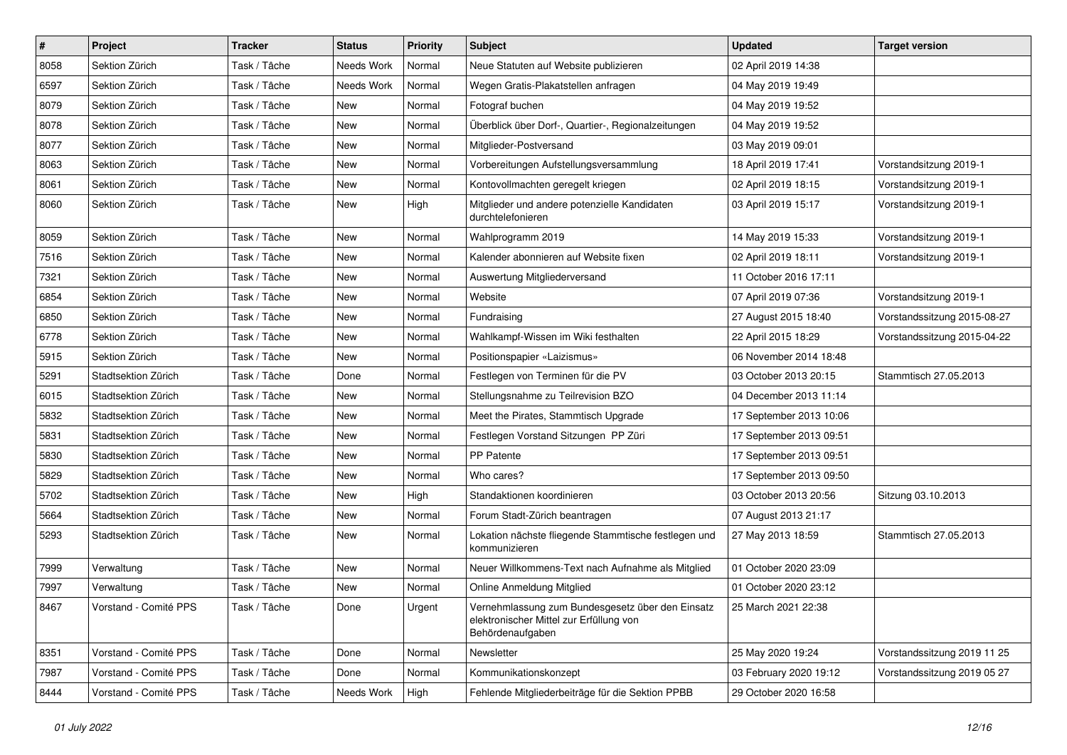| $\vert$ # | Project               | <b>Tracker</b> | <b>Status</b> | <b>Priority</b> | Subject                                                                                                         | <b>Updated</b>          | <b>Target version</b>       |
|-----------|-----------------------|----------------|---------------|-----------------|-----------------------------------------------------------------------------------------------------------------|-------------------------|-----------------------------|
| 8058      | Sektion Zürich        | Task / Tâche   | Needs Work    | Normal          | Neue Statuten auf Website publizieren                                                                           | 02 April 2019 14:38     |                             |
| 6597      | Sektion Zürich        | Task / Tâche   | Needs Work    | Normal          | Wegen Gratis-Plakatstellen anfragen                                                                             | 04 May 2019 19:49       |                             |
| 8079      | Sektion Zürich        | Task / Tâche   | New           | Normal          | Fotograf buchen                                                                                                 | 04 May 2019 19:52       |                             |
| 8078      | Sektion Zürich        | Task / Tâche   | New           | Normal          | Überblick über Dorf-, Quartier-, Regionalzeitungen                                                              | 04 May 2019 19:52       |                             |
| 8077      | Sektion Zürich        | Task / Tâche   | <b>New</b>    | Normal          | Mitglieder-Postversand                                                                                          | 03 May 2019 09:01       |                             |
| 8063      | Sektion Zürich        | Task / Tâche   | New           | Normal          | Vorbereitungen Aufstellungsversammlung                                                                          | 18 April 2019 17:41     | Vorstandsitzung 2019-1      |
| 8061      | Sektion Zürich        | Task / Tâche   | New           | Normal          | Kontovollmachten geregelt kriegen                                                                               | 02 April 2019 18:15     | Vorstandsitzung 2019-1      |
| 8060      | Sektion Zürich        | Task / Tâche   | New           | High            | Mitglieder und andere potenzielle Kandidaten<br>durchtelefonieren                                               | 03 April 2019 15:17     | Vorstandsitzung 2019-1      |
| 8059      | Sektion Zürich        | Task / Tâche   | <b>New</b>    | Normal          | Wahlprogramm 2019                                                                                               | 14 May 2019 15:33       | Vorstandsitzung 2019-1      |
| 7516      | Sektion Zürich        | Task / Tâche   | New           | Normal          | Kalender abonnieren auf Website fixen                                                                           | 02 April 2019 18:11     | Vorstandsitzung 2019-1      |
| 7321      | Sektion Zürich        | Task / Tâche   | New           | Normal          | Auswertung Mitgliederversand                                                                                    | 11 October 2016 17:11   |                             |
| 6854      | Sektion Zürich        | Task / Tâche   | <b>New</b>    | Normal          | Website                                                                                                         | 07 April 2019 07:36     | Vorstandsitzung 2019-1      |
| 6850      | Sektion Zürich        | Task / Tâche   | New           | Normal          | Fundraising                                                                                                     | 27 August 2015 18:40    | Vorstandssitzung 2015-08-27 |
| 6778      | Sektion Zürich        | Task / Tâche   | New           | Normal          | Wahlkampf-Wissen im Wiki festhalten                                                                             | 22 April 2015 18:29     | Vorstandssitzung 2015-04-22 |
| 5915      | Sektion Zürich        | Task / Tâche   | New           | Normal          | Positionspapier «Laizismus»                                                                                     | 06 November 2014 18:48  |                             |
| 5291      | Stadtsektion Zürich   | Task / Tâche   | Done          | Normal          | Festlegen von Terminen für die PV                                                                               | 03 October 2013 20:15   | Stammtisch 27.05.2013       |
| 6015      | Stadtsektion Zürich   | Task / Tâche   | <b>New</b>    | Normal          | Stellungsnahme zu Teilrevision BZO                                                                              | 04 December 2013 11:14  |                             |
| 5832      | Stadtsektion Zürich   | Task / Tâche   | New           | Normal          | Meet the Pirates, Stammtisch Upgrade                                                                            | 17 September 2013 10:06 |                             |
| 5831      | Stadtsektion Zürich   | Task / Tâche   | New           | Normal          | Festlegen Vorstand Sitzungen PP Züri                                                                            | 17 September 2013 09:51 |                             |
| 5830      | Stadtsektion Zürich   | Task / Tâche   | New           | Normal          | PP Patente                                                                                                      | 17 September 2013 09:51 |                             |
| 5829      | Stadtsektion Zürich   | Task / Tâche   | <b>New</b>    | Normal          | Who cares?                                                                                                      | 17 September 2013 09:50 |                             |
| 5702      | Stadtsektion Zürich   | Task / Tâche   | New           | High            | Standaktionen koordinieren                                                                                      | 03 October 2013 20:56   | Sitzung 03.10.2013          |
| 5664      | Stadtsektion Zürich   | Task / Tâche   | New           | Normal          | Forum Stadt-Zürich beantragen                                                                                   | 07 August 2013 21:17    |                             |
| 5293      | Stadtsektion Zürich   | Task / Tâche   | New           | Normal          | Lokation nächste fliegende Stammtische festlegen und<br>kommunizieren                                           | 27 May 2013 18:59       | Stammtisch 27.05.2013       |
| 7999      | Verwaltung            | Task / Tâche   | New           | Normal          | Neuer Willkommens-Text nach Aufnahme als Mitglied                                                               | 01 October 2020 23:09   |                             |
| 7997      | Verwaltung            | Task / Tâche   | New           | Normal          | Online Anmeldung Mitglied                                                                                       | 01 October 2020 23:12   |                             |
| 8467      | Vorstand - Comité PPS | Task / Tâche   | Done          | Urgent          | Vernehmlassung zum Bundesgesetz über den Einsatz<br>elektronischer Mittel zur Erfüllung von<br>Behördenaufgaben | 25 March 2021 22:38     |                             |
| 8351      | Vorstand - Comité PPS | Task / Tâche   | Done          | Normal          | Newsletter                                                                                                      | 25 May 2020 19:24       | Vorstandssitzung 2019 11 25 |
| 7987      | Vorstand - Comité PPS | Task / Tâche   | Done          | Normal          | Kommunikationskonzept                                                                                           | 03 February 2020 19:12  | Vorstandssitzung 2019 05 27 |
| 8444      | Vorstand - Comité PPS | Task / Tâche   | Needs Work    | High            | Fehlende Mitgliederbeiträge für die Sektion PPBB                                                                | 29 October 2020 16:58   |                             |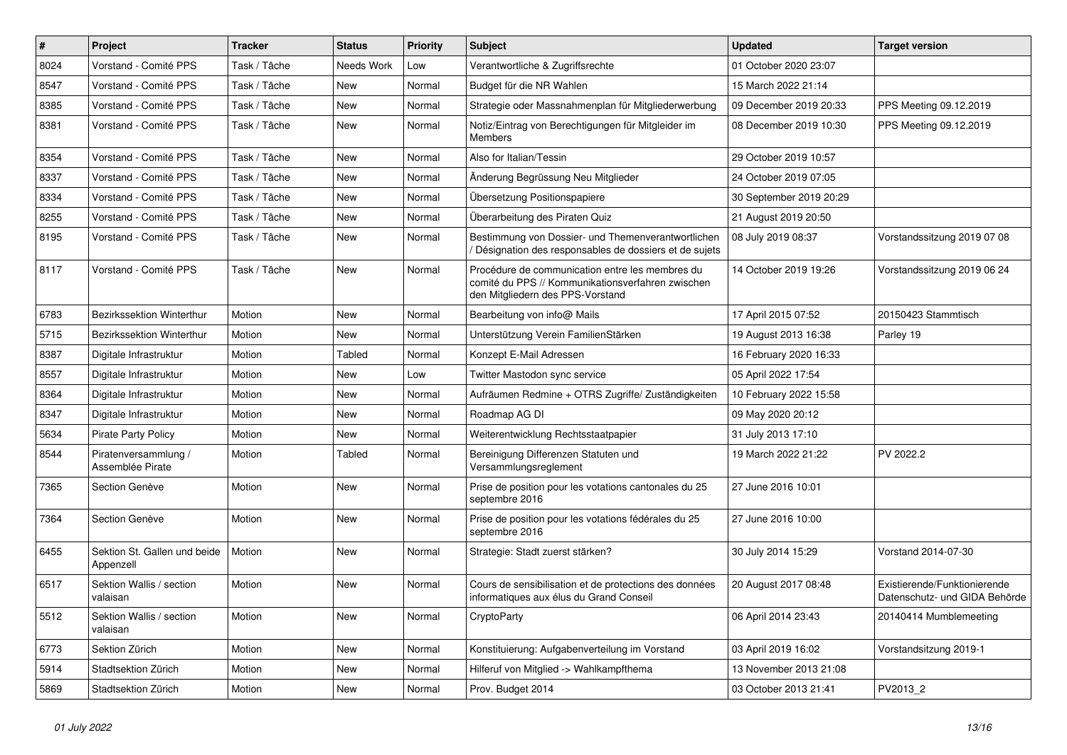| $\sharp$ | Project                                   | <b>Tracker</b> | <b>Status</b> | <b>Priority</b> | <b>Subject</b>                                                                                                                           | <b>Updated</b>          | <b>Target version</b>                                         |
|----------|-------------------------------------------|----------------|---------------|-----------------|------------------------------------------------------------------------------------------------------------------------------------------|-------------------------|---------------------------------------------------------------|
| 8024     | Vorstand - Comité PPS                     | Task / Tâche   | Needs Work    | Low             | Verantwortliche & Zugriffsrechte                                                                                                         | 01 October 2020 23:07   |                                                               |
| 8547     | Vorstand - Comité PPS                     | Task / Tâche   | New           | Normal          | Budget für die NR Wahlen                                                                                                                 | 15 March 2022 21:14     |                                                               |
| 8385     | Vorstand - Comité PPS                     | Task / Tâche   | New           | Normal          | Strategie oder Massnahmenplan für Mitgliederwerbung                                                                                      | 09 December 2019 20:33  | PPS Meeting 09.12.2019                                        |
| 8381     | Vorstand - Comité PPS                     | Task / Tâche   | New           | Normal          | Notiz/Eintrag von Berechtigungen für Mitgleider im<br><b>Members</b>                                                                     | 08 December 2019 10:30  | PPS Meeting 09.12.2019                                        |
| 8354     | Vorstand - Comité PPS                     | Task / Tâche   | <b>New</b>    | Normal          | Also for Italian/Tessin                                                                                                                  | 29 October 2019 10:57   |                                                               |
| 8337     | Vorstand - Comité PPS                     | Task / Tâche   | New           | Normal          | Änderung Begrüssung Neu Mitglieder                                                                                                       | 24 October 2019 07:05   |                                                               |
| 8334     | Vorstand - Comité PPS                     | Task / Tâche   | New           | Normal          | Übersetzung Positionspapiere                                                                                                             | 30 September 2019 20:29 |                                                               |
| 8255     | Vorstand - Comité PPS                     | Task / Tâche   | <b>New</b>    | Normal          | Überarbeitung des Piraten Quiz                                                                                                           | 21 August 2019 20:50    |                                                               |
| 8195     | Vorstand - Comité PPS                     | Task / Tâche   | <b>New</b>    | Normal          | Bestimmung von Dossier- und Themenverantwortlichen<br>Désignation des responsables de dossiers et de sujets                              | 08 July 2019 08:37      | Vorstandssitzung 2019 07 08                                   |
| 8117     | Vorstand - Comité PPS                     | Task / Tâche   | New           | Normal          | Procédure de communication entre les membres du<br>comité du PPS // Kommunikationsverfahren zwischen<br>den Mitgliedern des PPS-Vorstand | 14 October 2019 19:26   | Vorstandssitzung 2019 06 24                                   |
| 6783     | Bezirkssektion Winterthur                 | Motion         | <b>New</b>    | Normal          | Bearbeitung von info@ Mails                                                                                                              | 17 April 2015 07:52     | 20150423 Stammtisch                                           |
| 5715     | Bezirkssektion Winterthur                 | Motion         | <b>New</b>    | Normal          | Unterstützung Verein FamilienStärken                                                                                                     | 19 August 2013 16:38    | Parley 19                                                     |
| 8387     | Digitale Infrastruktur                    | Motion         | Tabled        | Normal          | Konzept E-Mail Adressen                                                                                                                  | 16 February 2020 16:33  |                                                               |
| 8557     | Digitale Infrastruktur                    | Motion         | New           | Low             | Twitter Mastodon sync service                                                                                                            | 05 April 2022 17:54     |                                                               |
| 8364     | Digitale Infrastruktur                    | Motion         | New           | Normal          | Aufräumen Redmine + OTRS Zugriffe/ Zuständigkeiten                                                                                       | 10 February 2022 15:58  |                                                               |
| 8347     | Digitale Infrastruktur                    | Motion         | New           | Normal          | Roadmap AG DI                                                                                                                            | 09 May 2020 20:12       |                                                               |
| 5634     | <b>Pirate Party Policy</b>                | Motion         | New           | Normal          | Weiterentwicklung Rechtsstaatpapier                                                                                                      | 31 July 2013 17:10      |                                                               |
| 8544     | Piratenversammlung /<br>Assemblée Pirate  | Motion         | Tabled        | Normal          | Bereinigung Differenzen Statuten und<br>Versammlungsreglement                                                                            | 19 March 2022 21:22     | PV 2022.2                                                     |
| 7365     | Section Genève                            | Motion         | New           | Normal          | Prise de position pour les votations cantonales du 25<br>septembre 2016                                                                  | 27 June 2016 10:01      |                                                               |
| 7364     | Section Genève                            | Motion         | <b>New</b>    | Normal          | Prise de position pour les votations fédérales du 25<br>septembre 2016                                                                   | 27 June 2016 10:00      |                                                               |
| 6455     | Sektion St. Gallen und beide<br>Appenzell | Motion         | New           | Normal          | Strategie: Stadt zuerst stärken?                                                                                                         | 30 July 2014 15:29      | Vorstand 2014-07-30                                           |
| 6517     | Sektion Wallis / section<br>valaisan      | Motion         | New           | Normal          | Cours de sensibilisation et de protections des données<br>informatiques aux élus du Grand Conseil                                        | 20 August 2017 08:48    | Existierende/Funktionierende<br>Datenschutz- und GIDA Behörde |
| 5512     | Sektion Wallis / section<br>valaisan      | Motion         | <b>New</b>    | Normal          | CryptoParty                                                                                                                              | 06 April 2014 23:43     | 20140414 Mumblemeeting                                        |
| 6773     | Sektion Zürich                            | Motion         | New           | Normal          | Konstituierung: Aufgabenverteilung im Vorstand                                                                                           | 03 April 2019 16:02     | Vorstandsitzung 2019-1                                        |
| 5914     | Stadtsektion Zürich                       | Motion         | New           | Normal          | Hilferuf von Mitglied -> Wahlkampfthema                                                                                                  | 13 November 2013 21:08  |                                                               |
| 5869     | Stadtsektion Zürich                       | Motion         | <b>New</b>    | Normal          | Prov. Budget 2014                                                                                                                        | 03 October 2013 21:41   | PV2013_2                                                      |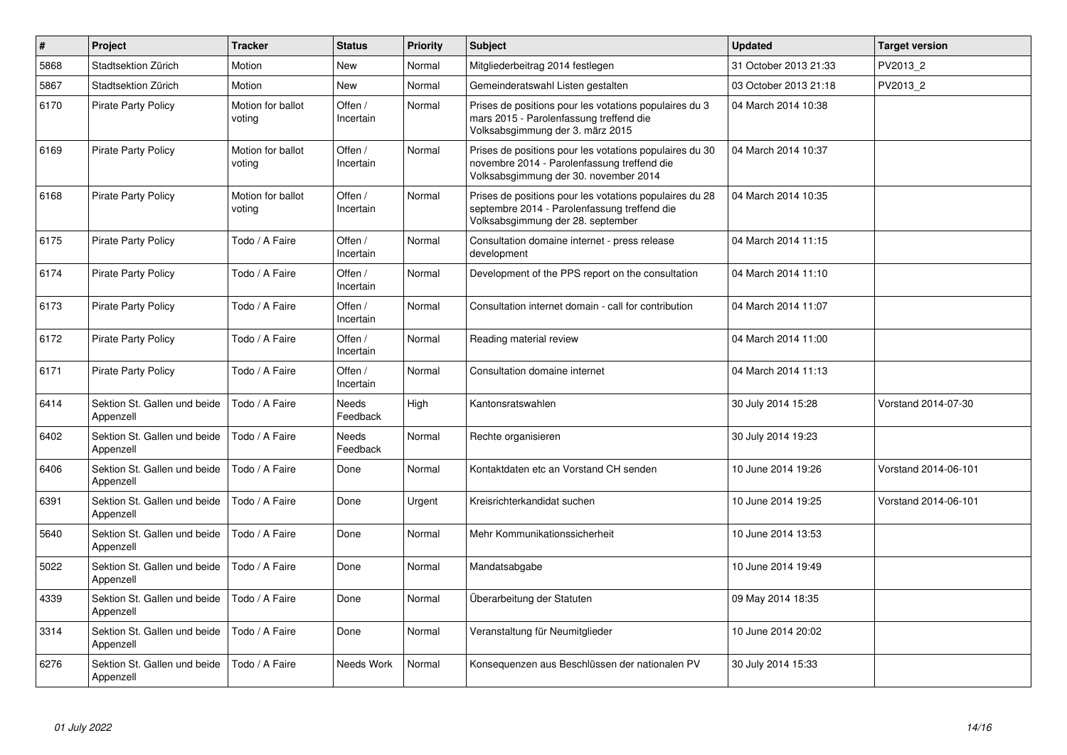| $\pmb{\#}$ | Project                                   | <b>Tracker</b>              | <b>Status</b>        | <b>Priority</b> | <b>Subject</b>                                                                                                                                  | <b>Updated</b>        | <b>Target version</b> |
|------------|-------------------------------------------|-----------------------------|----------------------|-----------------|-------------------------------------------------------------------------------------------------------------------------------------------------|-----------------------|-----------------------|
| 5868       | Stadtsektion Zürich                       | Motion                      | New                  | Normal          | Mitgliederbeitrag 2014 festlegen                                                                                                                | 31 October 2013 21:33 | PV2013 2              |
| 5867       | Stadtsektion Zürich                       | Motion                      | <b>New</b>           | Normal          | Gemeinderatswahl Listen gestalten                                                                                                               | 03 October 2013 21:18 | PV2013_2              |
| 6170       | <b>Pirate Party Policy</b>                | Motion for ballot<br>voting | Offen /<br>Incertain | Normal          | Prises de positions pour les votations populaires du 3<br>mars 2015 - Parolenfassung treffend die<br>Volksabsgimmung der 3. märz 2015           | 04 March 2014 10:38   |                       |
| 6169       | <b>Pirate Party Policy</b>                | Motion for ballot<br>voting | Offen /<br>Incertain | Normal          | Prises de positions pour les votations populaires du 30<br>novembre 2014 - Parolenfassung treffend die<br>Volksabsgimmung der 30. november 2014 | 04 March 2014 10:37   |                       |
| 6168       | <b>Pirate Party Policy</b>                | Motion for ballot<br>voting | Offen /<br>Incertain | Normal          | Prises de positions pour les votations populaires du 28<br>septembre 2014 - Parolenfassung treffend die<br>Volksabsgimmung der 28. september    | 04 March 2014 10:35   |                       |
| 6175       | <b>Pirate Party Policy</b>                | Todo / A Faire              | Offen /<br>Incertain | Normal          | Consultation domaine internet - press release<br>development                                                                                    | 04 March 2014 11:15   |                       |
| 6174       | <b>Pirate Party Policy</b>                | Todo / A Faire              | Offen /<br>Incertain | Normal          | Development of the PPS report on the consultation                                                                                               | 04 March 2014 11:10   |                       |
| 6173       | <b>Pirate Party Policy</b>                | Todo / A Faire              | Offen /<br>Incertain | Normal          | Consultation internet domain - call for contribution                                                                                            | 04 March 2014 11:07   |                       |
| 6172       | <b>Pirate Party Policy</b>                | Todo / A Faire              | Offen /<br>Incertain | Normal          | Reading material review                                                                                                                         | 04 March 2014 11:00   |                       |
| 6171       | <b>Pirate Party Policy</b>                | Todo / A Faire              | Offen /<br>Incertain | Normal          | Consultation domaine internet                                                                                                                   | 04 March 2014 11:13   |                       |
| 6414       | Sektion St. Gallen und beide<br>Appenzell | Todo / A Faire              | Needs<br>Feedback    | High            | Kantonsratswahlen                                                                                                                               | 30 July 2014 15:28    | Vorstand 2014-07-30   |
| 6402       | Sektion St. Gallen und beide<br>Appenzell | Todo / A Faire              | Needs<br>Feedback    | Normal          | Rechte organisieren                                                                                                                             | 30 July 2014 19:23    |                       |
| 6406       | Sektion St. Gallen und beide<br>Appenzell | Todo / A Faire              | Done                 | Normal          | Kontaktdaten etc an Vorstand CH senden                                                                                                          | 10 June 2014 19:26    | Vorstand 2014-06-101  |
| 6391       | Sektion St. Gallen und beide<br>Appenzell | Todo / A Faire              | Done                 | Urgent          | Kreisrichterkandidat suchen                                                                                                                     | 10 June 2014 19:25    | Vorstand 2014-06-101  |
| 5640       | Sektion St. Gallen und beide<br>Appenzell | Todo / A Faire              | Done                 | Normal          | Mehr Kommunikationssicherheit                                                                                                                   | 10 June 2014 13:53    |                       |
| 5022       | Sektion St. Gallen und beide<br>Appenzell | Todo / A Faire              | Done                 | Normal          | Mandatsabgabe                                                                                                                                   | 10 June 2014 19:49    |                       |
| 4339       | Sektion St. Gallen und beide<br>Appenzell | Todo / A Faire              | Done                 | Normal          | Überarbeitung der Statuten                                                                                                                      | 09 May 2014 18:35     |                       |
| 3314       | Sektion St. Gallen und beide<br>Appenzell | Todo / A Faire              | Done                 | Normal          | Veranstaltung für Neumitglieder                                                                                                                 | 10 June 2014 20:02    |                       |
| 6276       | Sektion St. Gallen und beide<br>Appenzell | Todo / A Faire              | Needs Work           | Normal          | Konsequenzen aus Beschlüssen der nationalen PV                                                                                                  | 30 July 2014 15:33    |                       |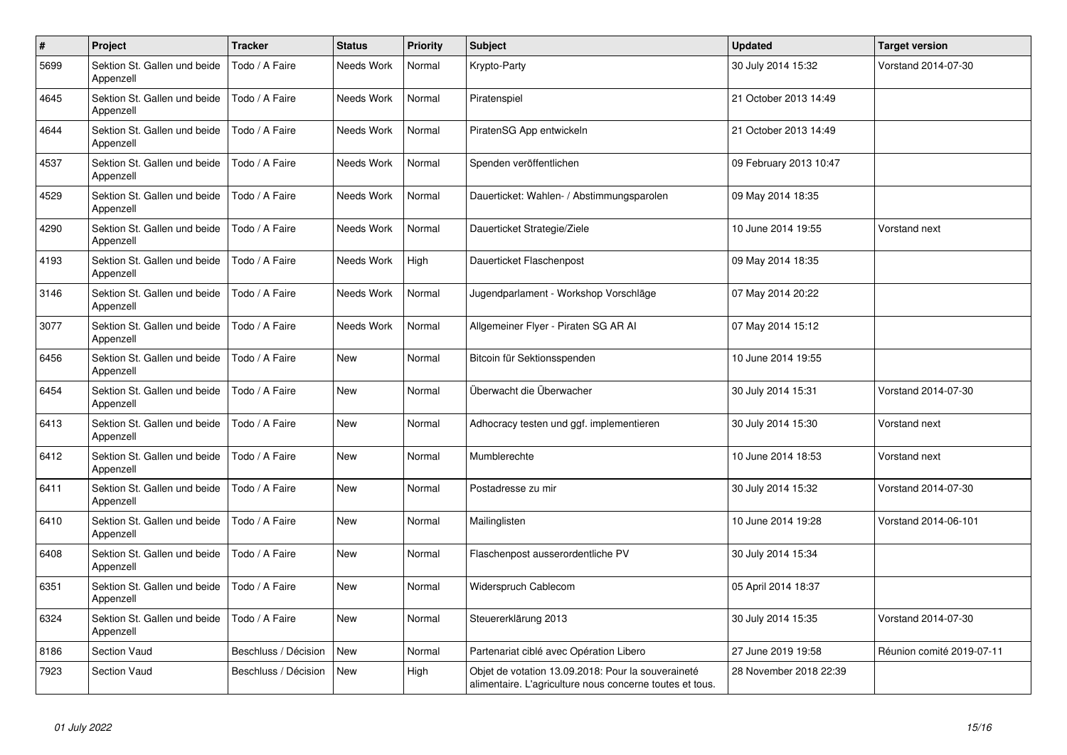| $\#$ | Project                                   | <b>Tracker</b>       | <b>Status</b>     | <b>Priority</b> | <b>Subject</b>                                                                                                 | <b>Updated</b>         | <b>Target version</b>     |
|------|-------------------------------------------|----------------------|-------------------|-----------------|----------------------------------------------------------------------------------------------------------------|------------------------|---------------------------|
| 5699 | Sektion St. Gallen und beide<br>Appenzell | Todo / A Faire       | <b>Needs Work</b> | Normal          | Krypto-Party                                                                                                   | 30 July 2014 15:32     | Vorstand 2014-07-30       |
| 4645 | Sektion St. Gallen und beide<br>Appenzell | Todo / A Faire       | Needs Work        | Normal          | Piratenspiel                                                                                                   | 21 October 2013 14:49  |                           |
| 4644 | Sektion St. Gallen und beide<br>Appenzell | Todo / A Faire       | Needs Work        | Normal          | PiratenSG App entwickeln                                                                                       | 21 October 2013 14:49  |                           |
| 4537 | Sektion St. Gallen und beide<br>Appenzell | Todo / A Faire       | Needs Work        | Normal          | Spenden veröffentlichen                                                                                        | 09 February 2013 10:47 |                           |
| 4529 | Sektion St. Gallen und beide<br>Appenzell | Todo / A Faire       | Needs Work        | Normal          | Dauerticket: Wahlen- / Abstimmungsparolen                                                                      | 09 May 2014 18:35      |                           |
| 4290 | Sektion St. Gallen und beide<br>Appenzell | Todo / A Faire       | Needs Work        | Normal          | Dauerticket Strategie/Ziele                                                                                    | 10 June 2014 19:55     | Vorstand next             |
| 4193 | Sektion St. Gallen und beide<br>Appenzell | Todo / A Faire       | Needs Work        | High            | Dauerticket Flaschenpost                                                                                       | 09 May 2014 18:35      |                           |
| 3146 | Sektion St. Gallen und beide<br>Appenzell | Todo / A Faire       | Needs Work        | Normal          | Jugendparlament - Workshop Vorschläge                                                                          | 07 May 2014 20:22      |                           |
| 3077 | Sektion St. Gallen und beide<br>Appenzell | Todo / A Faire       | Needs Work        | Normal          | Allgemeiner Flyer - Piraten SG AR Al                                                                           | 07 May 2014 15:12      |                           |
| 6456 | Sektion St. Gallen und beide<br>Appenzell | Todo / A Faire       | <b>New</b>        | Normal          | Bitcoin für Sektionsspenden                                                                                    | 10 June 2014 19:55     |                           |
| 6454 | Sektion St. Gallen und beide<br>Appenzell | Todo / A Faire       | New               | Normal          | Überwacht die Überwacher                                                                                       | 30 July 2014 15:31     | Vorstand 2014-07-30       |
| 6413 | Sektion St. Gallen und beide<br>Appenzell | Todo / A Faire       | New               | Normal          | Adhocracy testen und ggf. implementieren                                                                       | 30 July 2014 15:30     | Vorstand next             |
| 6412 | Sektion St. Gallen und beide<br>Appenzell | Todo / A Faire       | <b>New</b>        | Normal          | Mumblerechte                                                                                                   | 10 June 2014 18:53     | Vorstand next             |
| 6411 | Sektion St. Gallen und beide<br>Appenzell | Todo / A Faire       | <b>New</b>        | Normal          | Postadresse zu mir                                                                                             | 30 July 2014 15:32     | Vorstand 2014-07-30       |
| 6410 | Sektion St. Gallen und beide<br>Appenzell | Todo / A Faire       | <b>New</b>        | Normal          | Mailinglisten                                                                                                  | 10 June 2014 19:28     | Vorstand 2014-06-101      |
| 6408 | Sektion St. Gallen und beide<br>Appenzell | Todo / A Faire       | <b>New</b>        | Normal          | Flaschenpost ausserordentliche PV                                                                              | 30 July 2014 15:34     |                           |
| 6351 | Sektion St. Gallen und beide<br>Appenzell | Todo / A Faire       | New               | Normal          | Widerspruch Cablecom                                                                                           | 05 April 2014 18:37    |                           |
| 6324 | Sektion St. Gallen und beide<br>Appenzell | Todo / A Faire       | New               | Normal          | Steuererklärung 2013                                                                                           | 30 July 2014 15:35     | Vorstand 2014-07-30       |
| 8186 | Section Vaud                              | Beschluss / Décision | <b>New</b>        | Normal          | Partenariat ciblé avec Opération Libero                                                                        | 27 June 2019 19:58     | Réunion comité 2019-07-11 |
| 7923 | <b>Section Vaud</b>                       | Beschluss / Décision | <b>New</b>        | High            | Objet de votation 13.09.2018: Pour la souveraineté<br>alimentaire. L'agriculture nous concerne toutes et tous. | 28 November 2018 22:39 |                           |